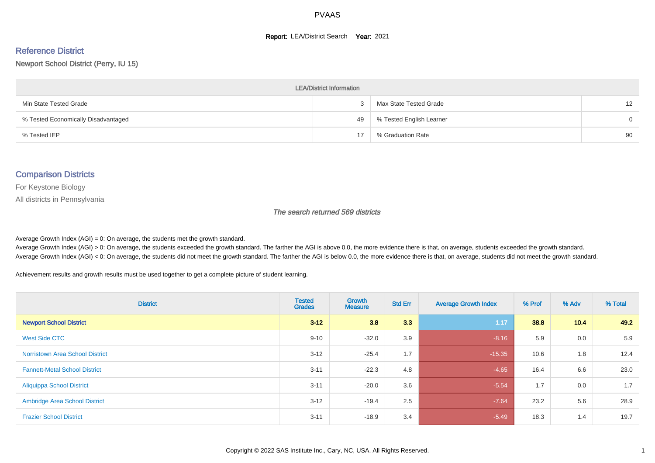#### **Report: LEA/District Search Year: 2021**

# Reference District

#### Newport School District (Perry, IU 15)

| <b>LEA/District Information</b>     |    |                          |                 |  |  |  |  |  |  |  |
|-------------------------------------|----|--------------------------|-----------------|--|--|--|--|--|--|--|
| Min State Tested Grade              | ۰C | Max State Tested Grade   | 12 <sup>2</sup> |  |  |  |  |  |  |  |
| % Tested Economically Disadvantaged | 49 | % Tested English Learner | $\Omega$        |  |  |  |  |  |  |  |
| % Tested IEP                        | 17 | % Graduation Rate        | 90              |  |  |  |  |  |  |  |

#### Comparison Districts

For Keystone Biology

All districts in Pennsylvania

The search returned 569 districts

Average Growth Index  $(AGI) = 0$ : On average, the students met the growth standard.

Average Growth Index (AGI) > 0: On average, the students exceeded the growth standard. The farther the AGI is above 0.0, the more evidence there is that, on average, students exceeded the growth standard. Average Growth Index (AGI) < 0: On average, the students did not meet the growth standard. The farther the AGI is below 0.0, the more evidence there is that, on average, students did not meet the growth standard.

Achievement results and growth results must be used together to get a complete picture of student learning.

| <b>District</b>                        | <b>Tested</b><br><b>Grades</b> | Growth<br><b>Measure</b> | <b>Std Err</b> | <b>Average Growth Index</b> | % Prof | % Adv | % Total |
|----------------------------------------|--------------------------------|--------------------------|----------------|-----------------------------|--------|-------|---------|
| <b>Newport School District</b>         | $3 - 12$                       | 3.8                      | 3.3            | 1.17                        | 38.8   | 10.4  | 49.2    |
| West Side CTC                          | $9 - 10$                       | $-32.0$                  | 3.9            | $-8.16$                     | 5.9    | 0.0   | 5.9     |
| <b>Norristown Area School District</b> | $3 - 12$                       | $-25.4$                  | 1.7            | $-15.35$                    | 10.6   | 1.8   | 12.4    |
| <b>Fannett-Metal School District</b>   | $3 - 11$                       | $-22.3$                  | 4.8            | $-4.65$                     | 16.4   | 6.6   | 23.0    |
| <b>Aliquippa School District</b>       | $3 - 11$                       | $-20.0$                  | 3.6            | $-5.54$                     | 1.7    | 0.0   | 1.7     |
| <b>Ambridge Area School District</b>   | $3 - 12$                       | $-19.4$                  | 2.5            | $-7.64$                     | 23.2   | 5.6   | 28.9    |
| <b>Frazier School District</b>         | $3 - 11$                       | $-18.9$                  | 3.4            | $-5.49$                     | 18.3   | 1.4   | 19.7    |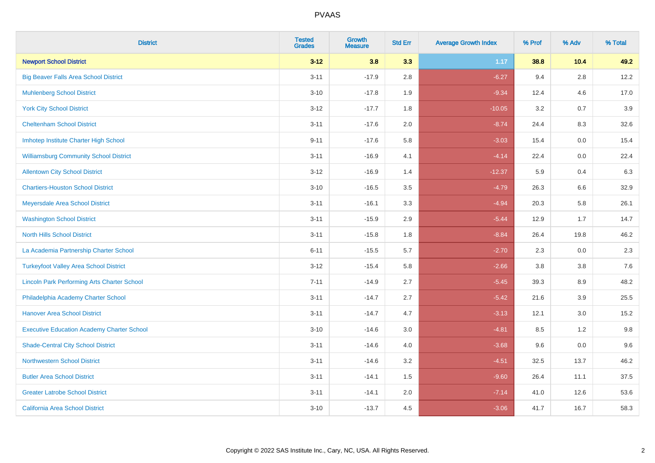| <b>District</b>                                    | <b>Tested</b><br><b>Grades</b> | <b>Growth</b><br><b>Measure</b> | <b>Std Err</b> | <b>Average Growth Index</b> | % Prof | % Adv   | % Total |
|----------------------------------------------------|--------------------------------|---------------------------------|----------------|-----------------------------|--------|---------|---------|
| <b>Newport School District</b>                     | $3 - 12$                       | 3.8                             | 3.3            | 1.17                        | 38.8   | 10.4    | 49.2    |
| <b>Big Beaver Falls Area School District</b>       | $3 - 11$                       | $-17.9$                         | 2.8            | $-6.27$                     | 9.4    | 2.8     | 12.2    |
| <b>Muhlenberg School District</b>                  | $3 - 10$                       | $-17.8$                         | 1.9            | $-9.34$                     | 12.4   | 4.6     | 17.0    |
| <b>York City School District</b>                   | $3 - 12$                       | $-17.7$                         | 1.8            | $-10.05$                    | 3.2    | 0.7     | 3.9     |
| <b>Cheltenham School District</b>                  | $3 - 11$                       | $-17.6$                         | 2.0            | $-8.74$                     | 24.4   | 8.3     | 32.6    |
| Imhotep Institute Charter High School              | $9 - 11$                       | $-17.6$                         | 5.8            | $-3.03$                     | 15.4   | 0.0     | 15.4    |
| <b>Williamsburg Community School District</b>      | $3 - 11$                       | $-16.9$                         | 4.1            | $-4.14$                     | 22.4   | $0.0\,$ | 22.4    |
| <b>Allentown City School District</b>              | $3 - 12$                       | $-16.9$                         | 1.4            | $-12.37$                    | 5.9    | 0.4     | 6.3     |
| <b>Chartiers-Houston School District</b>           | $3 - 10$                       | $-16.5$                         | 3.5            | $-4.79$                     | 26.3   | 6.6     | 32.9    |
| Meyersdale Area School District                    | $3 - 11$                       | $-16.1$                         | 3.3            | $-4.94$                     | 20.3   | 5.8     | 26.1    |
| <b>Washington School District</b>                  | $3 - 11$                       | $-15.9$                         | 2.9            | $-5.44$                     | 12.9   | 1.7     | 14.7    |
| <b>North Hills School District</b>                 | $3 - 11$                       | $-15.8$                         | 1.8            | $-8.84$                     | 26.4   | 19.8    | 46.2    |
| La Academia Partnership Charter School             | $6 - 11$                       | $-15.5$                         | 5.7            | $-2.70$                     | 2.3    | 0.0     | 2.3     |
| <b>Turkeyfoot Valley Area School District</b>      | $3 - 12$                       | $-15.4$                         | 5.8            | $-2.66$                     | 3.8    | $3.8\,$ | 7.6     |
| <b>Lincoln Park Performing Arts Charter School</b> | $7 - 11$                       | $-14.9$                         | 2.7            | $-5.45$                     | 39.3   | 8.9     | 48.2    |
| Philadelphia Academy Charter School                | $3 - 11$                       | $-14.7$                         | 2.7            | $-5.42$                     | 21.6   | 3.9     | 25.5    |
| <b>Hanover Area School District</b>                | $3 - 11$                       | $-14.7$                         | 4.7            | $-3.13$                     | 12.1   | 3.0     | 15.2    |
| <b>Executive Education Academy Charter School</b>  | $3 - 10$                       | $-14.6$                         | 3.0            | $-4.81$                     | 8.5    | 1.2     | 9.8     |
| <b>Shade-Central City School District</b>          | $3 - 11$                       | $-14.6$                         | 4.0            | $-3.68$                     | 9.6    | 0.0     | 9.6     |
| <b>Northwestern School District</b>                | $3 - 11$                       | $-14.6$                         | 3.2            | $-4.51$                     | 32.5   | 13.7    | 46.2    |
| <b>Butler Area School District</b>                 | $3 - 11$                       | $-14.1$                         | 1.5            | $-9.60$                     | 26.4   | 11.1    | 37.5    |
| <b>Greater Latrobe School District</b>             | $3 - 11$                       | $-14.1$                         | 2.0            | $-7.14$                     | 41.0   | 12.6    | 53.6    |
| <b>California Area School District</b>             | $3 - 10$                       | $-13.7$                         | 4.5            | $-3.06$                     | 41.7   | 16.7    | 58.3    |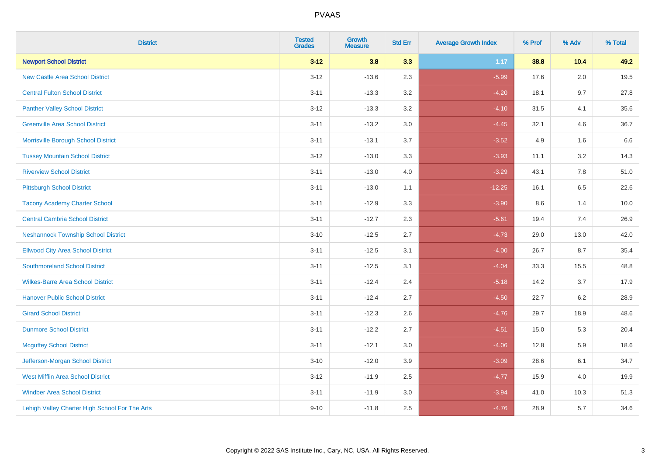| <b>District</b>                                | <b>Tested</b><br><b>Grades</b> | <b>Growth</b><br><b>Measure</b> | <b>Std Err</b> | <b>Average Growth Index</b> | % Prof | % Adv | % Total |
|------------------------------------------------|--------------------------------|---------------------------------|----------------|-----------------------------|--------|-------|---------|
| <b>Newport School District</b>                 | $3 - 12$                       | 3.8                             | 3.3            | 1.17                        | 38.8   | 10.4  | 49.2    |
| <b>New Castle Area School District</b>         | $3 - 12$                       | $-13.6$                         | 2.3            | $-5.99$                     | 17.6   | 2.0   | 19.5    |
| <b>Central Fulton School District</b>          | $3 - 11$                       | $-13.3$                         | 3.2            | $-4.20$                     | 18.1   | 9.7   | 27.8    |
| <b>Panther Valley School District</b>          | $3 - 12$                       | $-13.3$                         | 3.2            | $-4.10$                     | 31.5   | 4.1   | 35.6    |
| <b>Greenville Area School District</b>         | $3 - 11$                       | $-13.2$                         | 3.0            | $-4.45$                     | 32.1   | 4.6   | 36.7    |
| Morrisville Borough School District            | $3 - 11$                       | $-13.1$                         | 3.7            | $-3.52$                     | 4.9    | 1.6   | 6.6     |
| <b>Tussey Mountain School District</b>         | $3 - 12$                       | $-13.0$                         | 3.3            | $-3.93$                     | 11.1   | 3.2   | 14.3    |
| <b>Riverview School District</b>               | $3 - 11$                       | $-13.0$                         | 4.0            | $-3.29$                     | 43.1   | 7.8   | 51.0    |
| <b>Pittsburgh School District</b>              | $3 - 11$                       | $-13.0$                         | 1.1            | $-12.25$                    | 16.1   | 6.5   | 22.6    |
| <b>Tacony Academy Charter School</b>           | $3 - 11$                       | $-12.9$                         | 3.3            | $-3.90$                     | 8.6    | 1.4   | 10.0    |
| <b>Central Cambria School District</b>         | $3 - 11$                       | $-12.7$                         | 2.3            | $-5.61$                     | 19.4   | 7.4   | 26.9    |
| <b>Neshannock Township School District</b>     | $3 - 10$                       | $-12.5$                         | 2.7            | $-4.73$                     | 29.0   | 13.0  | 42.0    |
| <b>Ellwood City Area School District</b>       | $3 - 11$                       | $-12.5$                         | 3.1            | $-4.00$                     | 26.7   | 8.7   | 35.4    |
| <b>Southmoreland School District</b>           | $3 - 11$                       | $-12.5$                         | 3.1            | $-4.04$                     | 33.3   | 15.5  | 48.8    |
| <b>Wilkes-Barre Area School District</b>       | $3 - 11$                       | $-12.4$                         | 2.4            | $-5.18$                     | 14.2   | 3.7   | 17.9    |
| <b>Hanover Public School District</b>          | $3 - 11$                       | $-12.4$                         | 2.7            | $-4.50$                     | 22.7   | 6.2   | 28.9    |
| <b>Girard School District</b>                  | $3 - 11$                       | $-12.3$                         | 2.6            | $-4.76$                     | 29.7   | 18.9  | 48.6    |
| <b>Dunmore School District</b>                 | $3 - 11$                       | $-12.2$                         | 2.7            | $-4.51$                     | 15.0   | 5.3   | 20.4    |
| <b>Mcguffey School District</b>                | $3 - 11$                       | $-12.1$                         | 3.0            | $-4.06$                     | 12.8   | 5.9   | 18.6    |
| Jefferson-Morgan School District               | $3 - 10$                       | $-12.0$                         | 3.9            | $-3.09$                     | 28.6   | 6.1   | 34.7    |
| West Mifflin Area School District              | $3 - 12$                       | $-11.9$                         | 2.5            | $-4.77$                     | 15.9   | 4.0   | 19.9    |
| <b>Windber Area School District</b>            | $3 - 11$                       | $-11.9$                         | 3.0            | $-3.94$                     | 41.0   | 10.3  | 51.3    |
| Lehigh Valley Charter High School For The Arts | $9 - 10$                       | $-11.8$                         | 2.5            | $-4.76$                     | 28.9   | 5.7   | 34.6    |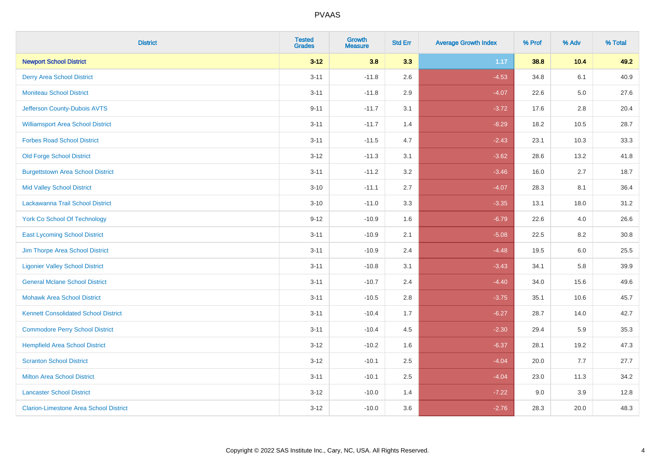| <b>District</b>                               | <b>Tested</b><br><b>Grades</b> | <b>Growth</b><br><b>Measure</b> | <b>Std Err</b> | <b>Average Growth Index</b> | % Prof | % Adv   | % Total |
|-----------------------------------------------|--------------------------------|---------------------------------|----------------|-----------------------------|--------|---------|---------|
| <b>Newport School District</b>                | $3 - 12$                       | 3.8                             | 3.3            | 1.17                        | 38.8   | 10.4    | 49.2    |
| <b>Derry Area School District</b>             | $3 - 11$                       | $-11.8$                         | 2.6            | $-4.53$                     | 34.8   | 6.1     | 40.9    |
| <b>Moniteau School District</b>               | $3 - 11$                       | $-11.8$                         | 2.9            | $-4.07$                     | 22.6   | $5.0\,$ | 27.6    |
| Jefferson County-Dubois AVTS                  | $9 - 11$                       | $-11.7$                         | 3.1            | $-3.72$                     | 17.6   | 2.8     | 20.4    |
| <b>Williamsport Area School District</b>      | $3 - 11$                       | $-11.7$                         | 1.4            | $-8.29$                     | 18.2   | 10.5    | 28.7    |
| <b>Forbes Road School District</b>            | $3 - 11$                       | $-11.5$                         | 4.7            | $-2.43$                     | 23.1   | 10.3    | 33.3    |
| <b>Old Forge School District</b>              | $3 - 12$                       | $-11.3$                         | 3.1            | $-3.62$                     | 28.6   | 13.2    | 41.8    |
| <b>Burgettstown Area School District</b>      | $3 - 11$                       | $-11.2$                         | 3.2            | $-3.46$                     | 16.0   | 2.7     | 18.7    |
| <b>Mid Valley School District</b>             | $3 - 10$                       | $-11.1$                         | 2.7            | $-4.07$                     | 28.3   | 8.1     | 36.4    |
| Lackawanna Trail School District              | $3 - 10$                       | $-11.0$                         | 3.3            | $-3.35$                     | 13.1   | 18.0    | 31.2    |
| <b>York Co School Of Technology</b>           | $9 - 12$                       | $-10.9$                         | 1.6            | $-6.79$                     | 22.6   | 4.0     | 26.6    |
| <b>East Lycoming School District</b>          | $3 - 11$                       | $-10.9$                         | 2.1            | $-5.08$                     | 22.5   | 8.2     | 30.8    |
| Jim Thorpe Area School District               | $3 - 11$                       | $-10.9$                         | 2.4            | $-4.48$                     | 19.5   | 6.0     | 25.5    |
| <b>Ligonier Valley School District</b>        | $3 - 11$                       | $-10.8$                         | 3.1            | $-3.43$                     | 34.1   | 5.8     | 39.9    |
| <b>General Mclane School District</b>         | $3 - 11$                       | $-10.7$                         | 2.4            | $-4.40$                     | 34.0   | 15.6    | 49.6    |
| <b>Mohawk Area School District</b>            | $3 - 11$                       | $-10.5$                         | 2.8            | $-3.75$                     | 35.1   | 10.6    | 45.7    |
| <b>Kennett Consolidated School District</b>   | $3 - 11$                       | $-10.4$                         | 1.7            | $-6.27$                     | 28.7   | 14.0    | 42.7    |
| <b>Commodore Perry School District</b>        | $3 - 11$                       | $-10.4$                         | 4.5            | $-2.30$                     | 29.4   | 5.9     | 35.3    |
| <b>Hempfield Area School District</b>         | $3 - 12$                       | $-10.2$                         | 1.6            | $-6.37$                     | 28.1   | 19.2    | 47.3    |
| <b>Scranton School District</b>               | $3 - 12$                       | $-10.1$                         | 2.5            | $-4.04$                     | 20.0   | 7.7     | 27.7    |
| <b>Milton Area School District</b>            | $3 - 11$                       | $-10.1$                         | 2.5            | $-4.04$                     | 23.0   | 11.3    | 34.2    |
| <b>Lancaster School District</b>              | $3 - 12$                       | $-10.0$                         | 1.4            | $-7.22$                     | 9.0    | 3.9     | 12.8    |
| <b>Clarion-Limestone Area School District</b> | $3 - 12$                       | $-10.0$                         | 3.6            | $-2.76$                     | 28.3   | 20.0    | 48.3    |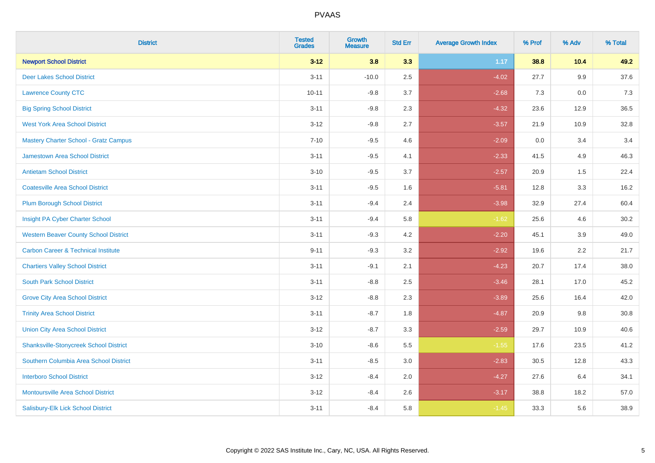| <b>District</b>                                | <b>Tested</b><br><b>Grades</b> | <b>Growth</b><br><b>Measure</b> | <b>Std Err</b> | <b>Average Growth Index</b> | % Prof | % Adv | % Total |
|------------------------------------------------|--------------------------------|---------------------------------|----------------|-----------------------------|--------|-------|---------|
| <b>Newport School District</b>                 | $3 - 12$                       | 3.8                             | 3.3            | 1.17                        | 38.8   | 10.4  | 49.2    |
| <b>Deer Lakes School District</b>              | $3 - 11$                       | $-10.0$                         | 2.5            | $-4.02$                     | 27.7   | 9.9   | 37.6    |
| <b>Lawrence County CTC</b>                     | $10 - 11$                      | $-9.8$                          | 3.7            | $-2.68$                     | 7.3    | 0.0   | 7.3     |
| <b>Big Spring School District</b>              | $3 - 11$                       | $-9.8$                          | 2.3            | $-4.32$                     | 23.6   | 12.9  | 36.5    |
| <b>West York Area School District</b>          | $3 - 12$                       | $-9.8$                          | 2.7            | $-3.57$                     | 21.9   | 10.9  | 32.8    |
| <b>Mastery Charter School - Gratz Campus</b>   | $7 - 10$                       | $-9.5$                          | 4.6            | $-2.09$                     | 0.0    | 3.4   | 3.4     |
| Jamestown Area School District                 | $3 - 11$                       | $-9.5$                          | 4.1            | $-2.33$                     | 41.5   | 4.9   | 46.3    |
| <b>Antietam School District</b>                | $3 - 10$                       | $-9.5$                          | 3.7            | $-2.57$                     | 20.9   | 1.5   | 22.4    |
| <b>Coatesville Area School District</b>        | $3 - 11$                       | $-9.5$                          | 1.6            | $-5.81$                     | 12.8   | 3.3   | 16.2    |
| <b>Plum Borough School District</b>            | $3 - 11$                       | $-9.4$                          | 2.4            | $-3.98$                     | 32.9   | 27.4  | 60.4    |
| Insight PA Cyber Charter School                | $3 - 11$                       | $-9.4$                          | 5.8            | $-1.62$                     | 25.6   | 4.6   | 30.2    |
| <b>Western Beaver County School District</b>   | $3 - 11$                       | $-9.3$                          | 4.2            | $-2.20$                     | 45.1   | 3.9   | 49.0    |
| <b>Carbon Career &amp; Technical Institute</b> | $9 - 11$                       | $-9.3$                          | 3.2            | $-2.92$                     | 19.6   | 2.2   | 21.7    |
| <b>Chartiers Valley School District</b>        | $3 - 11$                       | $-9.1$                          | 2.1            | $-4.23$                     | 20.7   | 17.4  | 38.0    |
| <b>South Park School District</b>              | $3 - 11$                       | $-8.8$                          | 2.5            | $-3.46$                     | 28.1   | 17.0  | 45.2    |
| <b>Grove City Area School District</b>         | $3 - 12$                       | $-8.8$                          | 2.3            | $-3.89$                     | 25.6   | 16.4  | 42.0    |
| <b>Trinity Area School District</b>            | $3 - 11$                       | $-8.7$                          | 1.8            | $-4.87$                     | 20.9   | 9.8   | 30.8    |
| <b>Union City Area School District</b>         | $3 - 12$                       | $-8.7$                          | 3.3            | $-2.59$                     | 29.7   | 10.9  | 40.6    |
| <b>Shanksville-Stonycreek School District</b>  | $3 - 10$                       | $-8.6$                          | 5.5            | $-1.55$                     | 17.6   | 23.5  | 41.2    |
| Southern Columbia Area School District         | $3 - 11$                       | $-8.5$                          | 3.0            | $-2.83$                     | 30.5   | 12.8  | 43.3    |
| <b>Interboro School District</b>               | $3 - 12$                       | $-8.4$                          | 2.0            | $-4.27$                     | 27.6   | 6.4   | 34.1    |
| <b>Montoursville Area School District</b>      | $3 - 12$                       | $-8.4$                          | 2.6            | $-3.17$                     | 38.8   | 18.2  | 57.0    |
| Salisbury-Elk Lick School District             | $3 - 11$                       | $-8.4$                          | 5.8            | $-1.45$                     | 33.3   | 5.6   | 38.9    |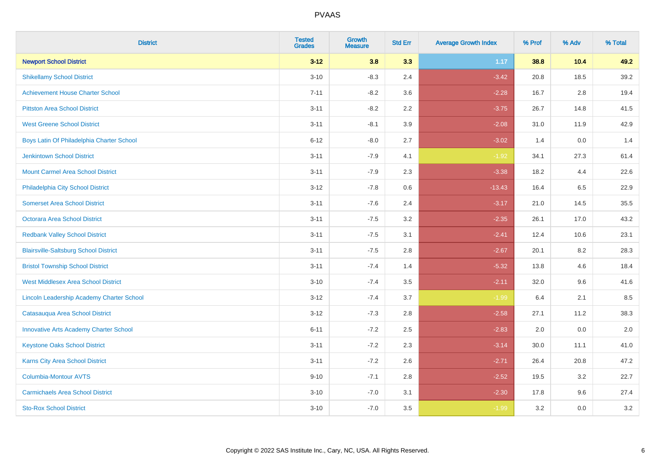| <b>District</b>                                  | <b>Tested</b><br><b>Grades</b> | <b>Growth</b><br><b>Measure</b> | <b>Std Err</b> | <b>Average Growth Index</b> | % Prof | % Adv   | % Total |
|--------------------------------------------------|--------------------------------|---------------------------------|----------------|-----------------------------|--------|---------|---------|
| <b>Newport School District</b>                   | $3 - 12$                       | 3.8                             | 3.3            | 1.17                        | 38.8   | 10.4    | 49.2    |
| <b>Shikellamy School District</b>                | $3 - 10$                       | $-8.3$                          | 2.4            | $-3.42$                     | 20.8   | 18.5    | 39.2    |
| <b>Achievement House Charter School</b>          | $7 - 11$                       | $-8.2$                          | 3.6            | $-2.28$                     | 16.7   | 2.8     | 19.4    |
| <b>Pittston Area School District</b>             | $3 - 11$                       | $-8.2$                          | 2.2            | $-3.75$                     | 26.7   | 14.8    | 41.5    |
| <b>West Greene School District</b>               | $3 - 11$                       | $-8.1$                          | 3.9            | $-2.08$                     | 31.0   | 11.9    | 42.9    |
| Boys Latin Of Philadelphia Charter School        | $6 - 12$                       | $-8.0$                          | 2.7            | $-3.02$                     | 1.4    | 0.0     | 1.4     |
| <b>Jenkintown School District</b>                | $3 - 11$                       | $-7.9$                          | 4.1            | $-1.92$                     | 34.1   | 27.3    | 61.4    |
| <b>Mount Carmel Area School District</b>         | $3 - 11$                       | $-7.9$                          | 2.3            | $-3.38$                     | 18.2   | 4.4     | 22.6    |
| Philadelphia City School District                | $3 - 12$                       | $-7.8$                          | 0.6            | $-13.43$                    | 16.4   | 6.5     | 22.9    |
| <b>Somerset Area School District</b>             | $3 - 11$                       | $-7.6$                          | 2.4            | $-3.17$                     | 21.0   | 14.5    | 35.5    |
| Octorara Area School District                    | $3 - 11$                       | $-7.5$                          | 3.2            | $-2.35$                     | 26.1   | 17.0    | 43.2    |
| <b>Redbank Valley School District</b>            | $3 - 11$                       | $-7.5$                          | 3.1            | $-2.41$                     | 12.4   | 10.6    | 23.1    |
| <b>Blairsville-Saltsburg School District</b>     | $3 - 11$                       | $-7.5$                          | 2.8            | $-2.67$                     | 20.1   | $8.2\,$ | 28.3    |
| <b>Bristol Township School District</b>          | $3 - 11$                       | $-7.4$                          | 1.4            | $-5.32$                     | 13.8   | 4.6     | 18.4    |
| <b>West Middlesex Area School District</b>       | $3 - 10$                       | $-7.4$                          | 3.5            | $-2.11$                     | 32.0   | 9.6     | 41.6    |
| <b>Lincoln Leadership Academy Charter School</b> | $3 - 12$                       | $-7.4$                          | 3.7            | $-1.99$                     | 6.4    | 2.1     | 8.5     |
| Catasauqua Area School District                  | $3 - 12$                       | $-7.3$                          | 2.8            | $-2.58$                     | 27.1   | 11.2    | 38.3    |
| <b>Innovative Arts Academy Charter School</b>    | $6 - 11$                       | $-7.2$                          | 2.5            | $-2.83$                     | 2.0    | 0.0     | 2.0     |
| <b>Keystone Oaks School District</b>             | $3 - 11$                       | $-7.2$                          | 2.3            | $-3.14$                     | 30.0   | 11.1    | 41.0    |
| Karns City Area School District                  | $3 - 11$                       | $-7.2$                          | 2.6            | $-2.71$                     | 26.4   | 20.8    | 47.2    |
| Columbia-Montour AVTS                            | $9 - 10$                       | $-7.1$                          | 2.8            | $-2.52$                     | 19.5   | 3.2     | 22.7    |
| <b>Carmichaels Area School District</b>          | $3 - 10$                       | $-7.0$                          | 3.1            | $-2.30$                     | 17.8   | 9.6     | 27.4    |
| <b>Sto-Rox School District</b>                   | $3 - 10$                       | $-7.0$                          | 3.5            | $-1.99$                     | 3.2    | 0.0     | 3.2     |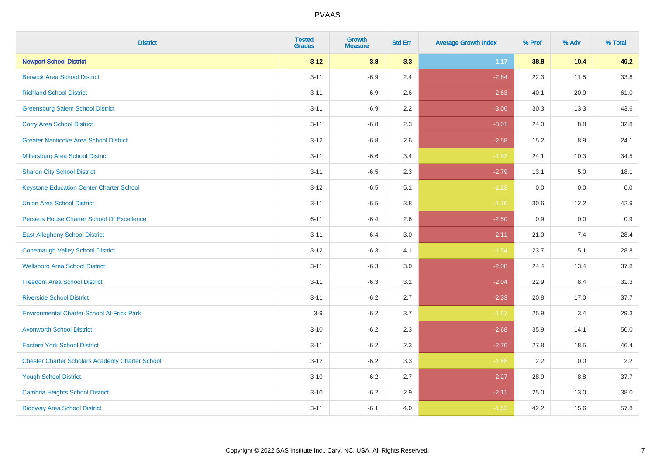| <b>District</b>                                        | <b>Tested</b><br><b>Grades</b> | <b>Growth</b><br><b>Measure</b> | <b>Std Err</b> | <b>Average Growth Index</b> | % Prof | % Adv  | % Total |
|--------------------------------------------------------|--------------------------------|---------------------------------|----------------|-----------------------------|--------|--------|---------|
| <b>Newport School District</b>                         | $3 - 12$                       | 3.8                             | 3.3            | 1.17                        | 38.8   | $10.4$ | 49.2    |
| <b>Berwick Area School District</b>                    | $3 - 11$                       | $-6.9$                          | 2.4            | $-2.84$                     | 22.3   | 11.5   | 33.8    |
| <b>Richland School District</b>                        | $3 - 11$                       | $-6.9$                          | 2.6            | $-2.63$                     | 40.1   | 20.9   | 61.0    |
| <b>Greensburg Salem School District</b>                | $3 - 11$                       | $-6.9$                          | 2.2            | $-3.06$                     | 30.3   | 13.3   | 43.6    |
| <b>Corry Area School District</b>                      | $3 - 11$                       | $-6.8$                          | 2.3            | $-3.01$                     | 24.0   | 8.8    | 32.8    |
| <b>Greater Nanticoke Area School District</b>          | $3 - 12$                       | $-6.8$                          | 2.6            | $-2.58$                     | 15.2   | 8.9    | 24.1    |
| Millersburg Area School District                       | $3 - 11$                       | $-6.6$                          | 3.4            | $-1.92$                     | 24.1   | 10.3   | 34.5    |
| <b>Sharon City School District</b>                     | $3 - 11$                       | $-6.5$                          | 2.3            | $-2.79$                     | 13.1   | 5.0    | 18.1    |
| <b>Keystone Education Center Charter School</b>        | $3 - 12$                       | $-6.5$                          | 5.1            | $-1.28$                     | 0.0    | 0.0    | 0.0     |
| <b>Union Area School District</b>                      | $3 - 11$                       | $-6.5$                          | 3.8            | $-1.70$                     | 30.6   | 12.2   | 42.9    |
| Perseus House Charter School Of Excellence             | $6 - 11$                       | $-6.4$                          | 2.6            | $-2.50$                     | 0.9    | 0.0    | 0.9     |
| <b>East Allegheny School District</b>                  | $3 - 11$                       | $-6.4$                          | 3.0            | $-2.11$                     | 21.0   | 7.4    | 28.4    |
| <b>Conemaugh Valley School District</b>                | $3 - 12$                       | $-6.3$                          | 4.1            | $-1.54$                     | 23.7   | 5.1    | 28.8    |
| <b>Wellsboro Area School District</b>                  | $3 - 11$                       | $-6.3$                          | 3.0            | $-2.08$                     | 24.4   | 13.4   | 37.8    |
| <b>Freedom Area School District</b>                    | $3 - 11$                       | $-6.3$                          | 3.1            | $-2.04$                     | 22.9   | 8.4    | 31.3    |
| <b>Riverside School District</b>                       | $3 - 11$                       | $-6.2$                          | 2.7            | $-2.33$                     | 20.8   | 17.0   | 37.7    |
| <b>Environmental Charter School At Frick Park</b>      | $3-9$                          | $-6.2$                          | 3.7            | $-1.67$                     | 25.9   | 3.4    | 29.3    |
| <b>Avonworth School District</b>                       | $3 - 10$                       | $-6.2$                          | 2.3            | $-2.68$                     | 35.9   | 14.1   | 50.0    |
| <b>Eastern York School District</b>                    | $3 - 11$                       | $-6.2$                          | 2.3            | $-2.70$                     | 27.8   | 18.5   | 46.4    |
| <b>Chester Charter Scholars Academy Charter School</b> | $3 - 12$                       | $-6.2$                          | 3.3            | $-1.88$                     | 2.2    | 0.0    | 2.2     |
| <b>Yough School District</b>                           | $3 - 10$                       | $-6.2$                          | 2.7            | $-2.27$                     | 28.9   | 8.8    | 37.7    |
| <b>Cambria Heights School District</b>                 | $3 - 10$                       | $-6.2$                          | 2.9            | $-2.11$                     | 25.0   | 13.0   | 38.0    |
| <b>Ridgway Area School District</b>                    | $3 - 11$                       | $-6.1$                          | 4.0            | $-1.53$                     | 42.2   | 15.6   | 57.8    |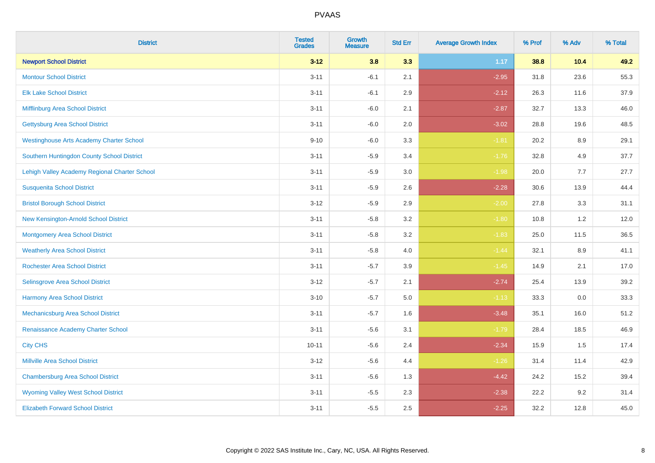| <b>District</b>                                 | <b>Tested</b><br><b>Grades</b> | <b>Growth</b><br><b>Measure</b> | <b>Std Err</b> | <b>Average Growth Index</b> | % Prof | % Adv | % Total |
|-------------------------------------------------|--------------------------------|---------------------------------|----------------|-----------------------------|--------|-------|---------|
| <b>Newport School District</b>                  | $3 - 12$                       | 3.8                             | 3.3            | 1.17                        | 38.8   | 10.4  | 49.2    |
| <b>Montour School District</b>                  | $3 - 11$                       | $-6.1$                          | 2.1            | $-2.95$                     | 31.8   | 23.6  | 55.3    |
| <b>Elk Lake School District</b>                 | $3 - 11$                       | $-6.1$                          | 2.9            | $-2.12$                     | 26.3   | 11.6  | 37.9    |
| Mifflinburg Area School District                | $3 - 11$                       | $-6.0$                          | 2.1            | $-2.87$                     | 32.7   | 13.3  | 46.0    |
| <b>Gettysburg Area School District</b>          | $3 - 11$                       | $-6.0$                          | 2.0            | $-3.02$                     | 28.8   | 19.6  | 48.5    |
| <b>Westinghouse Arts Academy Charter School</b> | $9 - 10$                       | $-6.0$                          | 3.3            | $-1.81$                     | 20.2   | 8.9   | 29.1    |
| Southern Huntingdon County School District      | $3 - 11$                       | $-5.9$                          | 3.4            | $-1.76$                     | 32.8   | 4.9   | 37.7    |
| Lehigh Valley Academy Regional Charter School   | $3 - 11$                       | $-5.9$                          | 3.0            | $-1.98$                     | 20.0   | 7.7   | 27.7    |
| <b>Susquenita School District</b>               | $3 - 11$                       | $-5.9$                          | 2.6            | $-2.28$                     | 30.6   | 13.9  | 44.4    |
| <b>Bristol Borough School District</b>          | $3 - 12$                       | $-5.9$                          | $2.9\,$        | $-2.00$                     | 27.8   | 3.3   | 31.1    |
| New Kensington-Arnold School District           | $3 - 11$                       | $-5.8$                          | 3.2            | $-1.80$                     | 10.8   | 1.2   | 12.0    |
| <b>Montgomery Area School District</b>          | $3 - 11$                       | $-5.8$                          | 3.2            | $-1.83$                     | 25.0   | 11.5  | 36.5    |
| <b>Weatherly Area School District</b>           | $3 - 11$                       | $-5.8$                          | 4.0            | $-1.44$                     | 32.1   | 8.9   | 41.1    |
| <b>Rochester Area School District</b>           | $3 - 11$                       | $-5.7$                          | 3.9            | $-1.45$                     | 14.9   | 2.1   | 17.0    |
| Selinsgrove Area School District                | $3 - 12$                       | $-5.7$                          | 2.1            | $-2.74$                     | 25.4   | 13.9  | 39.2    |
| <b>Harmony Area School District</b>             | $3 - 10$                       | $-5.7$                          | 5.0            | $-1.13$                     | 33.3   | 0.0   | 33.3    |
| Mechanicsburg Area School District              | $3 - 11$                       | $-5.7$                          | 1.6            | $-3.48$                     | 35.1   | 16.0  | 51.2    |
| Renaissance Academy Charter School              | $3 - 11$                       | $-5.6$                          | 3.1            | $-1.79$                     | 28.4   | 18.5  | 46.9    |
| <b>City CHS</b>                                 | $10 - 11$                      | $-5.6$                          | 2.4            | $-2.34$                     | 15.9   | 1.5   | 17.4    |
| <b>Millville Area School District</b>           | $3 - 12$                       | $-5.6$                          | 4.4            | $-1.26$                     | 31.4   | 11.4  | 42.9    |
| <b>Chambersburg Area School District</b>        | $3 - 11$                       | $-5.6$                          | 1.3            | $-4.42$                     | 24.2   | 15.2  | 39.4    |
| <b>Wyoming Valley West School District</b>      | $3 - 11$                       | $-5.5$                          | 2.3            | $-2.38$                     | 22.2   | 9.2   | 31.4    |
| <b>Elizabeth Forward School District</b>        | $3 - 11$                       | $-5.5$                          | 2.5            | $-2.25$                     | 32.2   | 12.8  | 45.0    |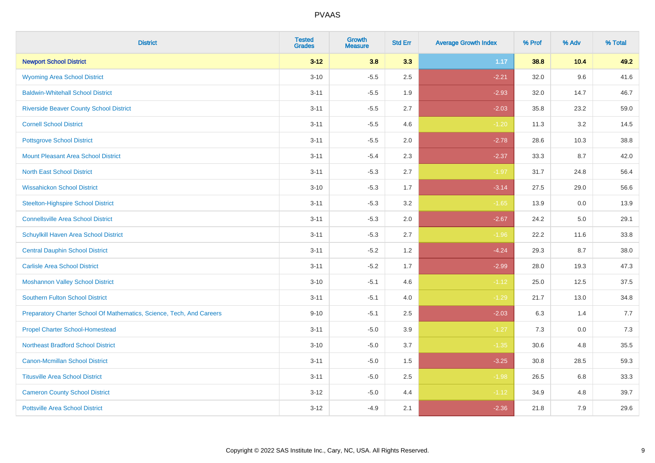| <b>District</b>                                                       | <b>Tested</b><br><b>Grades</b> | <b>Growth</b><br><b>Measure</b> | <b>Std Err</b> | <b>Average Growth Index</b> | % Prof | % Adv  | % Total |
|-----------------------------------------------------------------------|--------------------------------|---------------------------------|----------------|-----------------------------|--------|--------|---------|
| <b>Newport School District</b>                                        | $3 - 12$                       | 3.8                             | 3.3            | 1.17                        | 38.8   | $10.4$ | 49.2    |
| <b>Wyoming Area School District</b>                                   | $3 - 10$                       | $-5.5$                          | 2.5            | $-2.21$                     | 32.0   | 9.6    | 41.6    |
| <b>Baldwin-Whitehall School District</b>                              | $3 - 11$                       | $-5.5$                          | 1.9            | $-2.93$                     | 32.0   | 14.7   | 46.7    |
| <b>Riverside Beaver County School District</b>                        | $3 - 11$                       | $-5.5$                          | 2.7            | $-2.03$                     | 35.8   | 23.2   | 59.0    |
| <b>Cornell School District</b>                                        | $3 - 11$                       | $-5.5$                          | 4.6            | $-1.20$                     | 11.3   | 3.2    | 14.5    |
| <b>Pottsgrove School District</b>                                     | $3 - 11$                       | $-5.5$                          | 2.0            | $-2.78$                     | 28.6   | 10.3   | 38.8    |
| <b>Mount Pleasant Area School District</b>                            | $3 - 11$                       | $-5.4$                          | 2.3            | $-2.37$                     | 33.3   | 8.7    | 42.0    |
| <b>North East School District</b>                                     | $3 - 11$                       | $-5.3$                          | 2.7            | $-1.97$                     | 31.7   | 24.8   | 56.4    |
| <b>Wissahickon School District</b>                                    | $3 - 10$                       | $-5.3$                          | 1.7            | $-3.14$                     | 27.5   | 29.0   | 56.6    |
| <b>Steelton-Highspire School District</b>                             | $3 - 11$                       | $-5.3$                          | 3.2            | $-1.65$                     | 13.9   | 0.0    | 13.9    |
| <b>Connellsville Area School District</b>                             | $3 - 11$                       | $-5.3$                          | 2.0            | $-2.67$                     | 24.2   | 5.0    | 29.1    |
| Schuylkill Haven Area School District                                 | $3 - 11$                       | $-5.3$                          | 2.7            | $-1.96$                     | 22.2   | 11.6   | 33.8    |
| <b>Central Dauphin School District</b>                                | $3 - 11$                       | $-5.2$                          | 1.2            | $-4.24$                     | 29.3   | 8.7    | 38.0    |
| <b>Carlisle Area School District</b>                                  | $3 - 11$                       | $-5.2$                          | 1.7            | $-2.99$                     | 28.0   | 19.3   | 47.3    |
| <b>Moshannon Valley School District</b>                               | $3 - 10$                       | $-5.1$                          | 4.6            | $-1.12$                     | 25.0   | 12.5   | 37.5    |
| <b>Southern Fulton School District</b>                                | $3 - 11$                       | $-5.1$                          | 4.0            | $-1.29$                     | 21.7   | 13.0   | 34.8    |
| Preparatory Charter School Of Mathematics, Science, Tech, And Careers | $9 - 10$                       | $-5.1$                          | 2.5            | $-2.03$                     | 6.3    | 1.4    | 7.7     |
| <b>Propel Charter School-Homestead</b>                                | $3 - 11$                       | $-5.0$                          | 3.9            | $-1.27$                     | 7.3    | 0.0    | 7.3     |
| <b>Northeast Bradford School District</b>                             | $3 - 10$                       | $-5.0$                          | 3.7            | $-1.35$                     | 30.6   | 4.8    | 35.5    |
| <b>Canon-Mcmillan School District</b>                                 | $3 - 11$                       | $-5.0$                          | 1.5            | $-3.25$                     | 30.8   | 28.5   | 59.3    |
| <b>Titusville Area School District</b>                                | $3 - 11$                       | $-5.0$                          | 2.5            | $-1.98$                     | 26.5   | 6.8    | 33.3    |
| <b>Cameron County School District</b>                                 | $3 - 12$                       | $-5.0$                          | 4.4            | $-1.12$                     | 34.9   | 4.8    | 39.7    |
| <b>Pottsville Area School District</b>                                | $3 - 12$                       | $-4.9$                          | 2.1            | $-2.36$                     | 21.8   | 7.9    | 29.6    |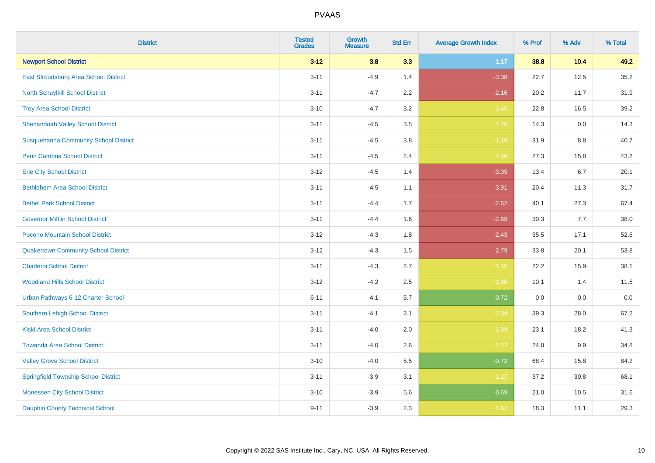| <b>District</b>                              | <b>Tested</b><br><b>Grades</b> | Growth<br><b>Measure</b> | <b>Std Err</b> | <b>Average Growth Index</b> | % Prof | % Adv | % Total |
|----------------------------------------------|--------------------------------|--------------------------|----------------|-----------------------------|--------|-------|---------|
| <b>Newport School District</b>               | $3 - 12$                       | 3.8                      | 3.3            | 1.17                        | 38.8   | 10.4  | 49.2    |
| East Stroudsburg Area School District        | $3 - 11$                       | $-4.9$                   | 1.4            | $-3.38$                     | 22.7   | 12.5  | 35.2    |
| North Schuylkill School District             | $3 - 11$                       | $-4.7$                   | 2.2            | $-2.16$                     | 20.2   | 11.7  | 31.9    |
| <b>Troy Area School District</b>             | $3 - 10$                       | $-4.7$                   | 3.2            | $-1.46$                     | 22.8   | 16.5  | 39.2    |
| <b>Shenandoah Valley School District</b>     | $3 - 11$                       | $-4.5$                   | 3.5            | $-1.29$                     | 14.3   | 0.0   | 14.3    |
| <b>Susquehanna Community School District</b> | $3 - 11$                       | $-4.5$                   | 3.8            | $-1.19$                     | 31.9   | 8.8   | 40.7    |
| Penn Cambria School District                 | $3 - 11$                       | $-4.5$                   | 2.4            | $-1.86$                     | 27.3   | 15.8  | 43.2    |
| <b>Erie City School District</b>             | $3 - 12$                       | $-4.5$                   | 1.4            | $-3.09$                     | 13.4   | 6.7   | 20.1    |
| <b>Bethlehem Area School District</b>        | $3 - 11$                       | $-4.5$                   | 1.1            | $-3.91$                     | 20.4   | 11.3  | 31.7    |
| <b>Bethel Park School District</b>           | $3 - 11$                       | $-4.4$                   | 1.7            | $-2.62$                     | 40.1   | 27.3  | 67.4    |
| <b>Governor Mifflin School District</b>      | $3 - 11$                       | $-4.4$                   | 1.6            | $-2.69$                     | 30.3   | 7.7   | 38.0    |
| Pocono Mountain School District              | $3 - 12$                       | $-4.3$                   | 1.8            | $-2.43$                     | 35.5   | 17.1  | 52.6    |
| <b>Quakertown Community School District</b>  | $3 - 12$                       | $-4.3$                   | 1.5            | $-2.79$                     | 33.8   | 20.1  | 53.8    |
| <b>Charleroi School District</b>             | $3 - 11$                       | $-4.3$                   | 2.7            | $-1.55$                     | 22.2   | 15.9  | 38.1    |
| <b>Woodland Hills School District</b>        | $3 - 12$                       | $-4.2$                   | 2.5            | $-1.66$                     | 10.1   | 1.4   | 11.5    |
| Urban Pathways 6-12 Charter School           | $6 - 11$                       | $-4.1$                   | 5.7            | $-0.72$                     | 0.0    | 0.0   | 0.0     |
| <b>Southern Lehigh School District</b>       | $3 - 11$                       | $-4.1$                   | 2.1            | $-1.94$                     | 39.3   | 28.0  | 67.2    |
| <b>Kiski Area School District</b>            | $3 - 11$                       | $-4.0$                   | 2.0            | $-1.99$                     | 23.1   | 18.2  | 41.3    |
| <b>Towanda Area School District</b>          | $3 - 11$                       | $-4.0$                   | 2.6            | $-1.52$                     | 24.8   | 9.9   | 34.8    |
| <b>Valley Grove School District</b>          | $3 - 10$                       | $-4.0$                   | 5.5            | $-0.72$                     | 68.4   | 15.8  | 84.2    |
| <b>Springfield Township School District</b>  | $3 - 11$                       | $-3.9$                   | 3.1            | $-1.27$                     | 37.2   | 30.8  | 68.1    |
| <b>Monessen City School District</b>         | $3 - 10$                       | $-3.9$                   | 5.6            | $-0.69$                     | 21.0   | 10.5  | 31.6    |
| <b>Dauphin County Technical School</b>       | $9 - 11$                       | $-3.9$                   | 2.3            | $-1.67$                     | 18.3   | 11.1  | 29.3    |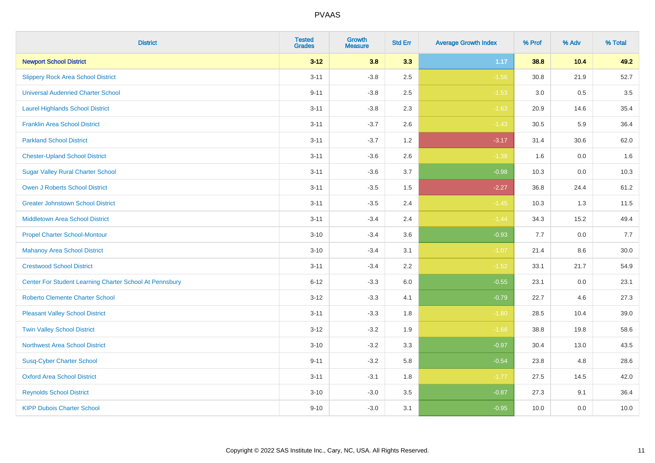| <b>District</b>                                         | <b>Tested</b><br><b>Grades</b> | <b>Growth</b><br><b>Measure</b> | <b>Std Err</b> | <b>Average Growth Index</b> | % Prof | % Adv   | % Total |
|---------------------------------------------------------|--------------------------------|---------------------------------|----------------|-----------------------------|--------|---------|---------|
| <b>Newport School District</b>                          | $3 - 12$                       | 3.8                             | 3.3            | 1.17                        | 38.8   | 10.4    | 49.2    |
| <b>Slippery Rock Area School District</b>               | $3 - 11$                       | $-3.8$                          | 2.5            | $-1.56$                     | 30.8   | 21.9    | 52.7    |
| <b>Universal Audenried Charter School</b>               | $9 - 11$                       | $-3.8$                          | 2.5            | $-1.53$                     | 3.0    | 0.5     | 3.5     |
| <b>Laurel Highlands School District</b>                 | $3 - 11$                       | $-3.8$                          | 2.3            | $-1.63$                     | 20.9   | 14.6    | 35.4    |
| <b>Franklin Area School District</b>                    | $3 - 11$                       | $-3.7$                          | 2.6            | $-1.43$                     | 30.5   | 5.9     | 36.4    |
| <b>Parkland School District</b>                         | $3 - 11$                       | $-3.7$                          | 1.2            | $-3.17$                     | 31.4   | 30.6    | 62.0    |
| <b>Chester-Upland School District</b>                   | $3 - 11$                       | $-3.6$                          | 2.6            | $-1.38$                     | 1.6    | $0.0\,$ | 1.6     |
| <b>Sugar Valley Rural Charter School</b>                | $3 - 11$                       | $-3.6$                          | 3.7            | $-0.98$                     | 10.3   | 0.0     | 10.3    |
| <b>Owen J Roberts School District</b>                   | $3 - 11$                       | $-3.5$                          | 1.5            | $-2.27$                     | 36.8   | 24.4    | 61.2    |
| <b>Greater Johnstown School District</b>                | $3 - 11$                       | $-3.5$                          | 2.4            | $-1.45$                     | 10.3   | 1.3     | 11.5    |
| <b>Middletown Area School District</b>                  | $3 - 11$                       | $-3.4$                          | 2.4            | $-1.44$                     | 34.3   | 15.2    | 49.4    |
| <b>Propel Charter School-Montour</b>                    | $3 - 10$                       | $-3.4$                          | 3.6            | $-0.93$                     | 7.7    | 0.0     | 7.7     |
| <b>Mahanoy Area School District</b>                     | $3 - 10$                       | $-3.4$                          | 3.1            | $-1.07$                     | 21.4   | 8.6     | 30.0    |
| <b>Crestwood School District</b>                        | $3 - 11$                       | $-3.4$                          | 2.2            | $-1.52$                     | 33.1   | 21.7    | 54.9    |
| Center For Student Learning Charter School At Pennsbury | $6 - 12$                       | $-3.3$                          | 6.0            | $-0.55$                     | 23.1   | 0.0     | 23.1    |
| <b>Roberto Clemente Charter School</b>                  | $3 - 12$                       | $-3.3$                          | 4.1            | $-0.79$                     | 22.7   | 4.6     | 27.3    |
| <b>Pleasant Valley School District</b>                  | $3 - 11$                       | $-3.3$                          | 1.8            | $-1.80$                     | 28.5   | 10.4    | 39.0    |
| <b>Twin Valley School District</b>                      | $3 - 12$                       | $-3.2$                          | 1.9            | $-1.68$                     | 38.8   | 19.8    | 58.6    |
| <b>Northwest Area School District</b>                   | $3 - 10$                       | $-3.2$                          | 3.3            | $-0.97$                     | 30.4   | 13.0    | 43.5    |
| <b>Susq-Cyber Charter School</b>                        | $9 - 11$                       | $-3.2$                          | 5.8            | $-0.54$                     | 23.8   | 4.8     | 28.6    |
| <b>Oxford Area School District</b>                      | $3 - 11$                       | $-3.1$                          | 1.8            | $-1.77$                     | 27.5   | 14.5    | 42.0    |
| <b>Reynolds School District</b>                         | $3 - 10$                       | $-3.0$                          | 3.5            | $-0.87$                     | 27.3   | 9.1     | 36.4    |
| <b>KIPP Dubois Charter School</b>                       | $9 - 10$                       | $-3.0$                          | 3.1            | $-0.95$                     | 10.0   | 0.0     | 10.0    |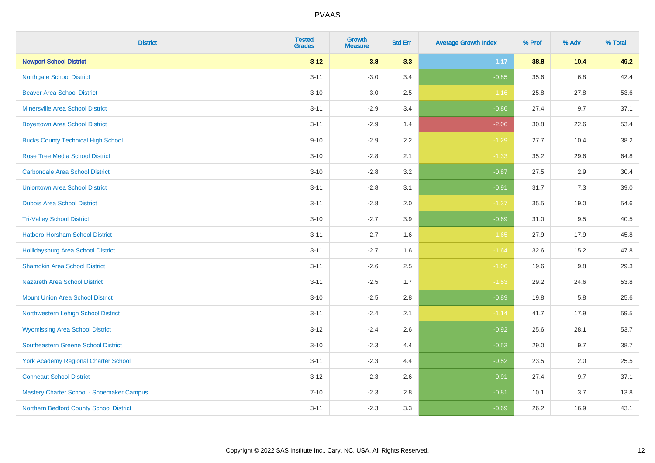| <b>District</b>                             | <b>Tested</b><br><b>Grades</b> | <b>Growth</b><br><b>Measure</b> | <b>Std Err</b> | <b>Average Growth Index</b> | % Prof | % Adv | % Total |
|---------------------------------------------|--------------------------------|---------------------------------|----------------|-----------------------------|--------|-------|---------|
| <b>Newport School District</b>              | $3 - 12$                       | 3.8                             | 3.3            | 1.17                        | 38.8   | 10.4  | 49.2    |
| <b>Northgate School District</b>            | $3 - 11$                       | $-3.0$                          | 3.4            | $-0.85$                     | 35.6   | 6.8   | 42.4    |
| <b>Beaver Area School District</b>          | $3 - 10$                       | $-3.0$                          | 2.5            | $-1.16$                     | 25.8   | 27.8  | 53.6    |
| <b>Minersville Area School District</b>     | $3 - 11$                       | $-2.9$                          | 3.4            | $-0.86$                     | 27.4   | 9.7   | 37.1    |
| <b>Boyertown Area School District</b>       | $3 - 11$                       | $-2.9$                          | 1.4            | $-2.06$                     | 30.8   | 22.6  | 53.4    |
| <b>Bucks County Technical High School</b>   | $9 - 10$                       | $-2.9$                          | 2.2            | $-1.29$                     | 27.7   | 10.4  | 38.2    |
| <b>Rose Tree Media School District</b>      | $3 - 10$                       | $-2.8$                          | 2.1            | $-1.33$                     | 35.2   | 29.6  | 64.8    |
| <b>Carbondale Area School District</b>      | $3 - 10$                       | $-2.8$                          | 3.2            | $-0.87$                     | 27.5   | 2.9   | 30.4    |
| <b>Uniontown Area School District</b>       | $3 - 11$                       | $-2.8$                          | 3.1            | $-0.91$                     | 31.7   | 7.3   | 39.0    |
| <b>Dubois Area School District</b>          | $3 - 11$                       | $-2.8$                          | 2.0            | $-1.37$                     | 35.5   | 19.0  | 54.6    |
| <b>Tri-Valley School District</b>           | $3 - 10$                       | $-2.7$                          | 3.9            | $-0.69$                     | 31.0   | 9.5   | 40.5    |
| Hatboro-Horsham School District             | $3 - 11$                       | $-2.7$                          | 1.6            | $-1.65$                     | 27.9   | 17.9  | 45.8    |
| Hollidaysburg Area School District          | $3 - 11$                       | $-2.7$                          | 1.6            | $-1.64$                     | 32.6   | 15.2  | 47.8    |
| <b>Shamokin Area School District</b>        | $3 - 11$                       | $-2.6$                          | 2.5            | $-1.06$                     | 19.6   | 9.8   | 29.3    |
| <b>Nazareth Area School District</b>        | $3 - 11$                       | $-2.5$                          | 1.7            | $-1.53$                     | 29.2   | 24.6  | 53.8    |
| <b>Mount Union Area School District</b>     | $3 - 10$                       | $-2.5$                          | 2.8            | $-0.89$                     | 19.8   | 5.8   | 25.6    |
| Northwestern Lehigh School District         | $3 - 11$                       | $-2.4$                          | 2.1            | $-1.14$                     | 41.7   | 17.9  | 59.5    |
| <b>Wyomissing Area School District</b>      | $3 - 12$                       | $-2.4$                          | 2.6            | $-0.92$                     | 25.6   | 28.1  | 53.7    |
| <b>Southeastern Greene School District</b>  | $3 - 10$                       | $-2.3$                          | 4.4            | $-0.53$                     | 29.0   | 9.7   | 38.7    |
| <b>York Academy Regional Charter School</b> | $3 - 11$                       | $-2.3$                          | 4.4            | $-0.52$                     | 23.5   | 2.0   | 25.5    |
| <b>Conneaut School District</b>             | $3 - 12$                       | $-2.3$                          | 2.6            | $-0.91$                     | 27.4   | 9.7   | 37.1    |
| Mastery Charter School - Shoemaker Campus   | $7 - 10$                       | $-2.3$                          | 2.8            | $-0.81$                     | 10.1   | 3.7   | 13.8    |
| Northern Bedford County School District     | $3 - 11$                       | $-2.3$                          | 3.3            | $-0.69$                     | 26.2   | 16.9  | 43.1    |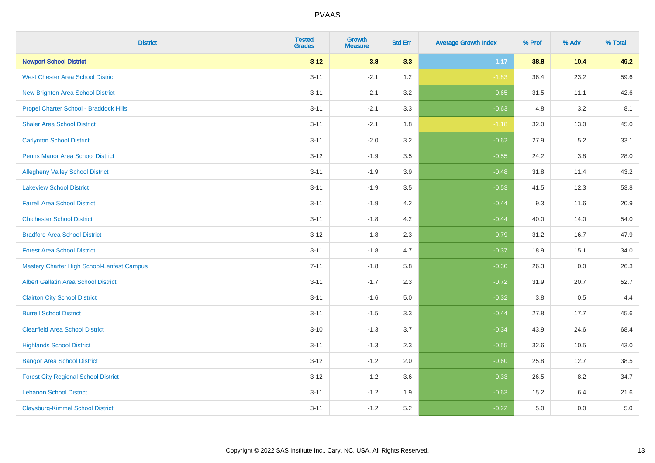| <b>District</b>                                   | <b>Tested</b><br><b>Grades</b> | <b>Growth</b><br><b>Measure</b> | <b>Std Err</b> | <b>Average Growth Index</b> | % Prof | % Adv   | % Total |
|---------------------------------------------------|--------------------------------|---------------------------------|----------------|-----------------------------|--------|---------|---------|
| <b>Newport School District</b>                    | $3 - 12$                       | 3.8                             | 3.3            | 1.17                        | 38.8   | 10.4    | 49.2    |
| <b>West Chester Area School District</b>          | $3 - 11$                       | $-2.1$                          | 1.2            | $-1.83$                     | 36.4   | 23.2    | 59.6    |
| <b>New Brighton Area School District</b>          | $3 - 11$                       | $-2.1$                          | 3.2            | $-0.65$                     | 31.5   | 11.1    | 42.6    |
| Propel Charter School - Braddock Hills            | $3 - 11$                       | $-2.1$                          | 3.3            | $-0.63$                     | 4.8    | 3.2     | 8.1     |
| <b>Shaler Area School District</b>                | $3 - 11$                       | $-2.1$                          | 1.8            | $-1.18$                     | 32.0   | 13.0    | 45.0    |
| <b>Carlynton School District</b>                  | $3 - 11$                       | $-2.0$                          | 3.2            | $-0.62$                     | 27.9   | 5.2     | 33.1    |
| <b>Penns Manor Area School District</b>           | $3 - 12$                       | $-1.9$                          | 3.5            | $-0.55$                     | 24.2   | $3.8\,$ | 28.0    |
| <b>Allegheny Valley School District</b>           | $3 - 11$                       | $-1.9$                          | 3.9            | $-0.48$                     | 31.8   | 11.4    | 43.2    |
| <b>Lakeview School District</b>                   | $3 - 11$                       | $-1.9$                          | 3.5            | $-0.53$                     | 41.5   | 12.3    | 53.8    |
| <b>Farrell Area School District</b>               | $3 - 11$                       | $-1.9$                          | 4.2            | $-0.44$                     | 9.3    | 11.6    | 20.9    |
| <b>Chichester School District</b>                 | $3 - 11$                       | $-1.8$                          | 4.2            | $-0.44$                     | 40.0   | 14.0    | 54.0    |
| <b>Bradford Area School District</b>              | $3 - 12$                       | $-1.8$                          | 2.3            | $-0.79$                     | 31.2   | 16.7    | 47.9    |
| <b>Forest Area School District</b>                | $3 - 11$                       | $-1.8$                          | 4.7            | $-0.37$                     | 18.9   | 15.1    | 34.0    |
| <b>Mastery Charter High School-Lenfest Campus</b> | $7 - 11$                       | $-1.8$                          | 5.8            | $-0.30$                     | 26.3   | 0.0     | 26.3    |
| <b>Albert Gallatin Area School District</b>       | $3 - 11$                       | $-1.7$                          | 2.3            | $-0.72$                     | 31.9   | 20.7    | 52.7    |
| <b>Clairton City School District</b>              | $3 - 11$                       | $-1.6$                          | 5.0            | $-0.32$                     | 3.8    | 0.5     | 4.4     |
| <b>Burrell School District</b>                    | $3 - 11$                       | $-1.5$                          | 3.3            | $-0.44$                     | 27.8   | 17.7    | 45.6    |
| <b>Clearfield Area School District</b>            | $3 - 10$                       | $-1.3$                          | 3.7            | $-0.34$                     | 43.9   | 24.6    | 68.4    |
| <b>Highlands School District</b>                  | $3 - 11$                       | $-1.3$                          | 2.3            | $-0.55$                     | 32.6   | 10.5    | 43.0    |
| <b>Bangor Area School District</b>                | $3 - 12$                       | $-1.2$                          | 2.0            | $-0.60$                     | 25.8   | 12.7    | 38.5    |
| <b>Forest City Regional School District</b>       | $3 - 12$                       | $-1.2$                          | 3.6            | $-0.33$                     | 26.5   | 8.2     | 34.7    |
| <b>Lebanon School District</b>                    | $3 - 11$                       | $-1.2$                          | 1.9            | $-0.63$                     | 15.2   | 6.4     | 21.6    |
| <b>Claysburg-Kimmel School District</b>           | $3 - 11$                       | $-1.2$                          | 5.2            | $-0.22$                     | 5.0    | 0.0     | 5.0     |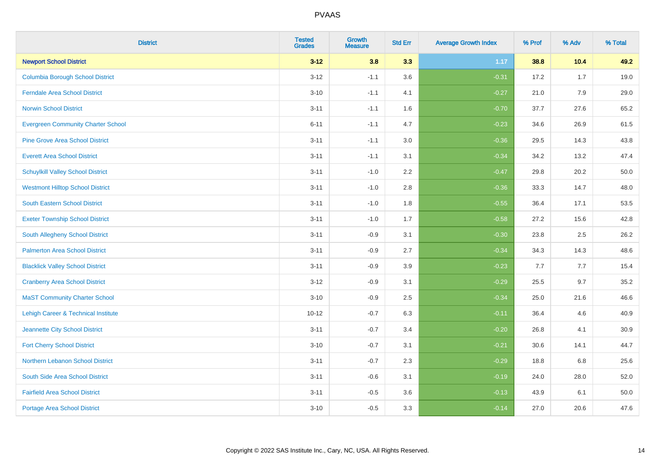| <b>District</b>                           | <b>Tested</b><br><b>Grades</b> | <b>Growth</b><br><b>Measure</b> | <b>Std Err</b> | <b>Average Growth Index</b> | % Prof | % Adv | % Total |
|-------------------------------------------|--------------------------------|---------------------------------|----------------|-----------------------------|--------|-------|---------|
| <b>Newport School District</b>            | $3 - 12$                       | 3.8                             | 3.3            | 1.17                        | 38.8   | 10.4  | 49.2    |
| <b>Columbia Borough School District</b>   | $3 - 12$                       | $-1.1$                          | 3.6            | $-0.31$                     | 17.2   | 1.7   | 19.0    |
| <b>Ferndale Area School District</b>      | $3 - 10$                       | $-1.1$                          | 4.1            | $-0.27$                     | 21.0   | 7.9   | 29.0    |
| <b>Norwin School District</b>             | $3 - 11$                       | $-1.1$                          | 1.6            | $-0.70$                     | 37.7   | 27.6  | 65.2    |
| <b>Evergreen Community Charter School</b> | $6 - 11$                       | $-1.1$                          | 4.7            | $-0.23$                     | 34.6   | 26.9  | 61.5    |
| <b>Pine Grove Area School District</b>    | $3 - 11$                       | $-1.1$                          | 3.0            | $-0.36$                     | 29.5   | 14.3  | 43.8    |
| <b>Everett Area School District</b>       | $3 - 11$                       | $-1.1$                          | 3.1            | $-0.34$                     | 34.2   | 13.2  | 47.4    |
| <b>Schuylkill Valley School District</b>  | $3 - 11$                       | $-1.0$                          | 2.2            | $-0.47$                     | 29.8   | 20.2  | 50.0    |
| <b>Westmont Hilltop School District</b>   | $3 - 11$                       | $-1.0$                          | 2.8            | $-0.36$                     | 33.3   | 14.7  | 48.0    |
| South Eastern School District             | $3 - 11$                       | $-1.0$                          | 1.8            | $-0.55$                     | 36.4   | 17.1  | 53.5    |
| <b>Exeter Township School District</b>    | $3 - 11$                       | $-1.0$                          | 1.7            | $-0.58$                     | 27.2   | 15.6  | 42.8    |
| <b>South Allegheny School District</b>    | $3 - 11$                       | $-0.9$                          | 3.1            | $-0.30$                     | 23.8   | 2.5   | 26.2    |
| <b>Palmerton Area School District</b>     | $3 - 11$                       | $-0.9$                          | 2.7            | $-0.34$                     | 34.3   | 14.3  | 48.6    |
| <b>Blacklick Valley School District</b>   | $3 - 11$                       | $-0.9$                          | 3.9            | $-0.23$                     | 7.7    | 7.7   | 15.4    |
| <b>Cranberry Area School District</b>     | $3 - 12$                       | $-0.9$                          | 3.1            | $-0.29$                     | 25.5   | 9.7   | 35.2    |
| <b>MaST Community Charter School</b>      | $3 - 10$                       | $-0.9$                          | 2.5            | $-0.34$                     | 25.0   | 21.6  | 46.6    |
| Lehigh Career & Technical Institute       | $10 - 12$                      | $-0.7$                          | 6.3            | $-0.11$                     | 36.4   | 4.6   | 40.9    |
| Jeannette City School District            | $3 - 11$                       | $-0.7$                          | 3.4            | $-0.20$                     | 26.8   | 4.1   | 30.9    |
| <b>Fort Cherry School District</b>        | $3 - 10$                       | $-0.7$                          | 3.1            | $-0.21$                     | 30.6   | 14.1  | 44.7    |
| Northern Lebanon School District          | $3 - 11$                       | $-0.7$                          | 2.3            | $-0.29$                     | 18.8   | 6.8   | 25.6    |
| South Side Area School District           | $3 - 11$                       | $-0.6$                          | 3.1            | $-0.19$                     | 24.0   | 28.0  | 52.0    |
| <b>Fairfield Area School District</b>     | $3 - 11$                       | $-0.5$                          | 3.6            | $-0.13$                     | 43.9   | 6.1   | 50.0    |
| <b>Portage Area School District</b>       | $3 - 10$                       | $-0.5$                          | 3.3            | $-0.14$                     | 27.0   | 20.6  | 47.6    |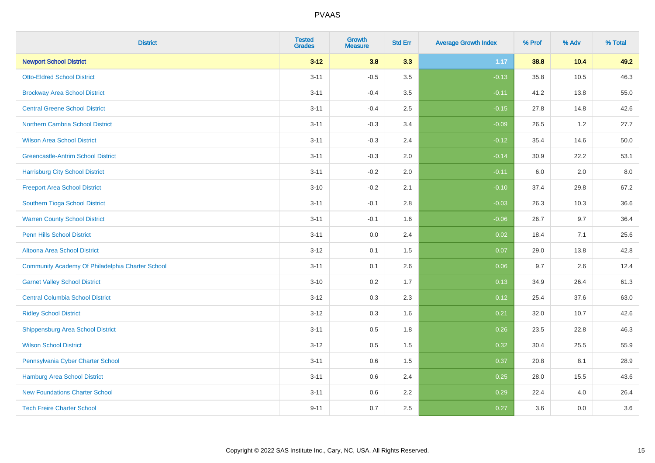| <b>District</b>                                  | <b>Tested</b><br><b>Grades</b> | <b>Growth</b><br><b>Measure</b> | <b>Std Err</b> | <b>Average Growth Index</b> | % Prof | % Adv | % Total |
|--------------------------------------------------|--------------------------------|---------------------------------|----------------|-----------------------------|--------|-------|---------|
| <b>Newport School District</b>                   | $3 - 12$                       | 3.8                             | 3.3            | 1.17                        | 38.8   | 10.4  | 49.2    |
| <b>Otto-Eldred School District</b>               | $3 - 11$                       | $-0.5$                          | 3.5            | $-0.13$                     | 35.8   | 10.5  | 46.3    |
| <b>Brockway Area School District</b>             | $3 - 11$                       | $-0.4$                          | 3.5            | $-0.11$                     | 41.2   | 13.8  | 55.0    |
| <b>Central Greene School District</b>            | $3 - 11$                       | $-0.4$                          | 2.5            | $-0.15$                     | 27.8   | 14.8  | 42.6    |
| Northern Cambria School District                 | $3 - 11$                       | $-0.3$                          | 3.4            | $-0.09$                     | 26.5   | 1.2   | 27.7    |
| <b>Wilson Area School District</b>               | $3 - 11$                       | $-0.3$                          | 2.4            | $-0.12$                     | 35.4   | 14.6  | 50.0    |
| <b>Greencastle-Antrim School District</b>        | $3 - 11$                       | $-0.3$                          | 2.0            | $-0.14$                     | 30.9   | 22.2  | 53.1    |
| <b>Harrisburg City School District</b>           | $3 - 11$                       | $-0.2$                          | 2.0            | $-0.11$                     | 6.0    | 2.0   | 8.0     |
| <b>Freeport Area School District</b>             | $3 - 10$                       | $-0.2$                          | 2.1            | $-0.10$                     | 37.4   | 29.8  | 67.2    |
| Southern Tioga School District                   | $3 - 11$                       | $-0.1$                          | 2.8            | $-0.03$                     | 26.3   | 10.3  | 36.6    |
| <b>Warren County School District</b>             | $3 - 11$                       | $-0.1$                          | 1.6            | $-0.06$                     | 26.7   | 9.7   | 36.4    |
| <b>Penn Hills School District</b>                | $3 - 11$                       | 0.0                             | 2.4            | 0.02                        | 18.4   | 7.1   | 25.6    |
| Altoona Area School District                     | $3 - 12$                       | 0.1                             | 1.5            | 0.07                        | 29.0   | 13.8  | 42.8    |
| Community Academy Of Philadelphia Charter School | $3 - 11$                       | 0.1                             | 2.6            | 0.06                        | 9.7    | 2.6   | 12.4    |
| <b>Garnet Valley School District</b>             | $3 - 10$                       | 0.2                             | 1.7            | 0.13                        | 34.9   | 26.4  | 61.3    |
| <b>Central Columbia School District</b>          | $3 - 12$                       | 0.3                             | 2.3            | 0.12                        | 25.4   | 37.6  | 63.0    |
| <b>Ridley School District</b>                    | $3 - 12$                       | 0.3                             | 1.6            | 0.21                        | 32.0   | 10.7  | 42.6    |
| <b>Shippensburg Area School District</b>         | $3 - 11$                       | 0.5                             | 1.8            | 0.26                        | 23.5   | 22.8  | 46.3    |
| <b>Wilson School District</b>                    | $3 - 12$                       | 0.5                             | 1.5            | 0.32                        | 30.4   | 25.5  | 55.9    |
| Pennsylvania Cyber Charter School                | $3 - 11$                       | 0.6                             | 1.5            | 0.37                        | 20.8   | 8.1   | 28.9    |
| Hamburg Area School District                     | $3 - 11$                       | 0.6                             | 2.4            | 0.25                        | 28.0   | 15.5  | 43.6    |
| <b>New Foundations Charter School</b>            | $3 - 11$                       | 0.6                             | 2.2            | 0.29                        | 22.4   | 4.0   | 26.4    |
| <b>Tech Freire Charter School</b>                | $9 - 11$                       | 0.7                             | 2.5            | 0.27                        | 3.6    | 0.0   | 3.6     |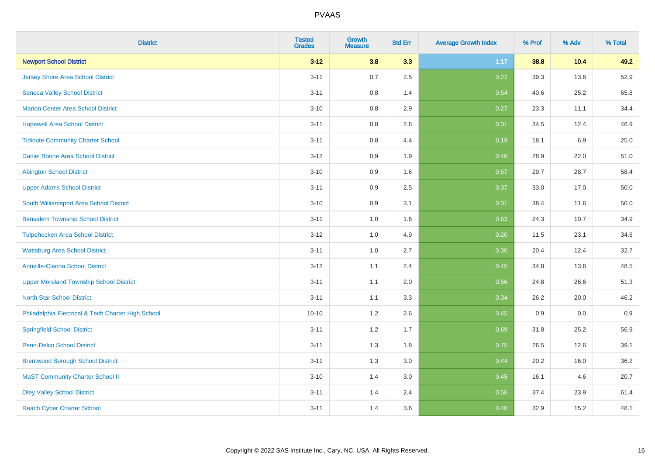| <b>District</b>                                    | <b>Tested</b><br><b>Grades</b> | <b>Growth</b><br><b>Measure</b> | <b>Std Err</b> | <b>Average Growth Index</b> | % Prof | % Adv | % Total |
|----------------------------------------------------|--------------------------------|---------------------------------|----------------|-----------------------------|--------|-------|---------|
| <b>Newport School District</b>                     | $3 - 12$                       | 3.8                             | 3.3            | 1.17                        | 38.8   | 10.4  | 49.2    |
| <b>Jersey Shore Area School District</b>           | $3 - 11$                       | $0.7\,$                         | 2.5            | 0.27                        | 39.3   | 13.6  | 52.9    |
| <b>Seneca Valley School District</b>               | $3 - 11$                       | 0.8                             | 1.4            | 0.54                        | 40.6   | 25.2  | 65.8    |
| <b>Marion Center Area School District</b>          | $3 - 10$                       | $0.8\,$                         | 2.9            | 0.27                        | 23.3   | 11.1  | 34.4    |
| <b>Hopewell Area School District</b>               | $3 - 11$                       | 0.8                             | 2.6            | 0.31                        | 34.5   | 12.4  | 46.9    |
| <b>Tidioute Community Charter School</b>           | $3 - 11$                       | 0.8                             | 4.4            | 0.19                        | 18.1   | 6.9   | 25.0    |
| Daniel Boone Area School District                  | $3 - 12$                       | 0.9                             | 1.9            | 0.46                        | 28.9   | 22.0  | 51.0    |
| <b>Abington School District</b>                    | $3 - 10$                       | 0.9                             | 1.6            | 0.57                        | 29.7   | 28.7  | 58.4    |
| <b>Upper Adams School District</b>                 | $3 - 11$                       | 0.9                             | 2.5            | 0.37                        | 33.0   | 17.0  | 50.0    |
| South Williamsport Area School District            | $3 - 10$                       | 0.9                             | 3.1            | 0.31                        | 38.4   | 11.6  | 50.0    |
| <b>Bensalem Township School District</b>           | $3 - 11$                       | 1.0                             | 1.6            | 0.63                        | 24.3   | 10.7  | 34.9    |
| <b>Tulpehocken Area School District</b>            | $3 - 12$                       | 1.0                             | 4.9            | 0.20                        | 11.5   | 23.1  | 34.6    |
| <b>Wattsburg Area School District</b>              | $3 - 11$                       | $1.0\,$                         | 2.7            | 0.36                        | 20.4   | 12.4  | 32.7    |
| <b>Annville-Cleona School District</b>             | $3 - 12$                       | 1.1                             | 2.4            | 0.45                        | 34.8   | 13.6  | 48.5    |
| <b>Upper Moreland Township School District</b>     | $3 - 11$                       | 1.1                             | 2.0            | 0.56                        | 24.8   | 26.6  | 51.3    |
| <b>North Star School District</b>                  | $3 - 11$                       | 1.1                             | 3.3            | 0.34                        | 26.2   | 20.0  | 46.2    |
| Philadelphia Electrical & Tech Charter High School | $10 - 10$                      | 1.2                             | 2.6            | 0.45                        | 0.9    | 0.0   | 0.9     |
| <b>Springfield School District</b>                 | $3 - 11$                       | 1.2                             | 1.7            | 0.69                        | 31.8   | 25.2  | 56.9    |
| <b>Penn-Delco School District</b>                  | $3 - 11$                       | 1.3                             | 1.8            | 0.75                        | 26.5   | 12.6  | 39.1    |
| <b>Brentwood Borough School District</b>           | $3 - 11$                       | 1.3                             | 3.0            | 0.44                        | 20.2   | 16.0  | 36.2    |
| <b>MaST Community Charter School II</b>            | $3 - 10$                       | 1.4                             | 3.0            | 0.45                        | 16.1   | 4.6   | 20.7    |
| <b>Oley Valley School District</b>                 | $3 - 11$                       | 1.4                             | 2.4            | 0.56                        | 37.4   | 23.9  | 61.4    |
| <b>Reach Cyber Charter School</b>                  | $3 - 11$                       | 1.4                             | 3.6            | 0.40                        | 32.9   | 15.2  | 48.1    |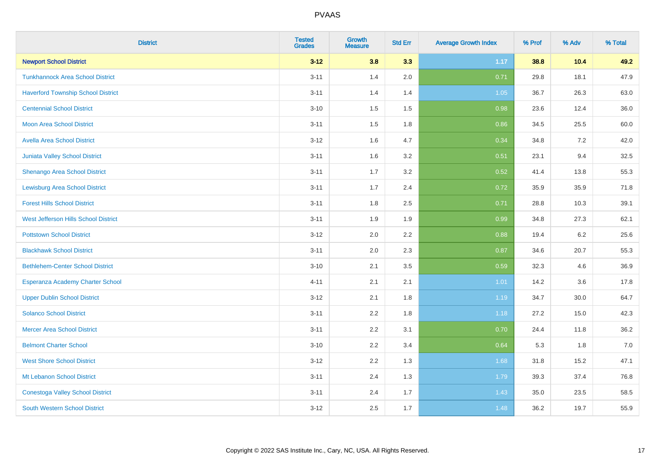| <b>District</b>                           | <b>Tested</b><br><b>Grades</b> | <b>Growth</b><br><b>Measure</b> | <b>Std Err</b> | <b>Average Growth Index</b> | % Prof | % Adv | % Total |
|-------------------------------------------|--------------------------------|---------------------------------|----------------|-----------------------------|--------|-------|---------|
| <b>Newport School District</b>            | $3 - 12$                       | 3.8                             | 3.3            | 1.17                        | 38.8   | 10.4  | 49.2    |
| <b>Tunkhannock Area School District</b>   | $3 - 11$                       | 1.4                             | 2.0            | 0.71                        | 29.8   | 18.1  | 47.9    |
| <b>Haverford Township School District</b> | $3 - 11$                       | 1.4                             | 1.4            | 1.05                        | 36.7   | 26.3  | 63.0    |
| <b>Centennial School District</b>         | $3 - 10$                       | 1.5                             | 1.5            | 0.98                        | 23.6   | 12.4  | 36.0    |
| <b>Moon Area School District</b>          | $3 - 11$                       | 1.5                             | 1.8            | 0.86                        | 34.5   | 25.5  | 60.0    |
| <b>Avella Area School District</b>        | $3 - 12$                       | 1.6                             | 4.7            | 0.34                        | 34.8   | 7.2   | 42.0    |
| <b>Juniata Valley School District</b>     | $3 - 11$                       | 1.6                             | 3.2            | 0.51                        | 23.1   | 9.4   | 32.5    |
| <b>Shenango Area School District</b>      | $3 - 11$                       | 1.7                             | 3.2            | 0.52                        | 41.4   | 13.8  | 55.3    |
| <b>Lewisburg Area School District</b>     | $3 - 11$                       | 1.7                             | 2.4            | 0.72                        | 35.9   | 35.9  | 71.8    |
| <b>Forest Hills School District</b>       | $3 - 11$                       | 1.8                             | 2.5            | 0.71                        | 28.8   | 10.3  | 39.1    |
| West Jefferson Hills School District      | $3 - 11$                       | 1.9                             | 1.9            | 0.99                        | 34.8   | 27.3  | 62.1    |
| <b>Pottstown School District</b>          | $3 - 12$                       | 2.0                             | 2.2            | 0.88                        | 19.4   | 6.2   | 25.6    |
| <b>Blackhawk School District</b>          | $3 - 11$                       | 2.0                             | 2.3            | 0.87                        | 34.6   | 20.7  | 55.3    |
| <b>Bethlehem-Center School District</b>   | $3 - 10$                       | 2.1                             | 3.5            | 0.59                        | 32.3   | 4.6   | 36.9    |
| Esperanza Academy Charter School          | $4 - 11$                       | 2.1                             | 2.1            | 1.01                        | 14.2   | 3.6   | 17.8    |
| <b>Upper Dublin School District</b>       | $3 - 12$                       | 2.1                             | 1.8            | 1.19                        | 34.7   | 30.0  | 64.7    |
| <b>Solanco School District</b>            | $3 - 11$                       | 2.2                             | 1.8            | 1.18                        | 27.2   | 15.0  | 42.3    |
| <b>Mercer Area School District</b>        | $3 - 11$                       | 2.2                             | 3.1            | 0.70                        | 24.4   | 11.8  | 36.2    |
| <b>Belmont Charter School</b>             | $3 - 10$                       | 2.2                             | 3.4            | 0.64                        | 5.3    | 1.8   | $7.0$   |
| <b>West Shore School District</b>         | $3 - 12$                       | 2.2                             | 1.3            | 1.68                        | 31.8   | 15.2  | 47.1    |
| Mt Lebanon School District                | $3 - 11$                       | 2.4                             | 1.3            | 1.79                        | 39.3   | 37.4  | 76.8    |
| <b>Conestoga Valley School District</b>   | $3 - 11$                       | 2.4                             | 1.7            | 1.43                        | 35.0   | 23.5  | 58.5    |
| <b>South Western School District</b>      | $3 - 12$                       | 2.5                             | 1.7            | 1.48                        | 36.2   | 19.7  | 55.9    |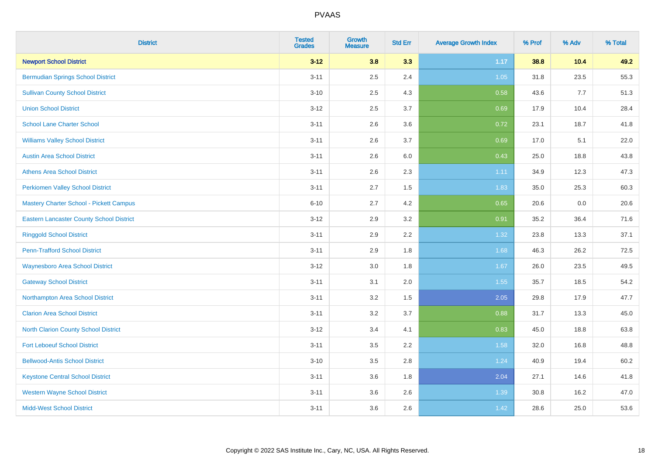| <b>District</b>                                 | <b>Tested</b><br><b>Grades</b> | <b>Growth</b><br><b>Measure</b> | <b>Std Err</b> | <b>Average Growth Index</b> | % Prof | % Adv | % Total |
|-------------------------------------------------|--------------------------------|---------------------------------|----------------|-----------------------------|--------|-------|---------|
| <b>Newport School District</b>                  | $3 - 12$                       | 3.8                             | 3.3            | 1.17                        | 38.8   | 10.4  | 49.2    |
| <b>Bermudian Springs School District</b>        | $3 - 11$                       | 2.5                             | 2.4            | $1.05$                      | 31.8   | 23.5  | 55.3    |
| <b>Sullivan County School District</b>          | $3 - 10$                       | 2.5                             | 4.3            | 0.58                        | 43.6   | 7.7   | 51.3    |
| <b>Union School District</b>                    | $3 - 12$                       | 2.5                             | 3.7            | 0.69                        | 17.9   | 10.4  | 28.4    |
| <b>School Lane Charter School</b>               | $3 - 11$                       | 2.6                             | 3.6            | 0.72                        | 23.1   | 18.7  | 41.8    |
| <b>Williams Valley School District</b>          | $3 - 11$                       | 2.6                             | 3.7            | 0.69                        | 17.0   | 5.1   | 22.0    |
| <b>Austin Area School District</b>              | $3 - 11$                       | 2.6                             | 6.0            | 0.43                        | 25.0   | 18.8  | 43.8    |
| <b>Athens Area School District</b>              | $3 - 11$                       | 2.6                             | 2.3            | 1.11                        | 34.9   | 12.3  | 47.3    |
| <b>Perkiomen Valley School District</b>         | $3 - 11$                       | 2.7                             | 1.5            | 1.83                        | 35.0   | 25.3  | 60.3    |
| <b>Mastery Charter School - Pickett Campus</b>  | $6 - 10$                       | 2.7                             | 4.2            | 0.65                        | 20.6   | 0.0   | 20.6    |
| <b>Eastern Lancaster County School District</b> | $3 - 12$                       | 2.9                             | 3.2            | 0.91                        | 35.2   | 36.4  | 71.6    |
| <b>Ringgold School District</b>                 | $3 - 11$                       | 2.9                             | 2.2            | 1.32                        | 23.8   | 13.3  | 37.1    |
| <b>Penn-Trafford School District</b>            | $3 - 11$                       | 2.9                             | 1.8            | 1.68                        | 46.3   | 26.2  | 72.5    |
| <b>Waynesboro Area School District</b>          | $3 - 12$                       | 3.0                             | 1.8            | 1.67                        | 26.0   | 23.5  | 49.5    |
| <b>Gateway School District</b>                  | $3 - 11$                       | 3.1                             | 2.0            | 1.55                        | 35.7   | 18.5  | 54.2    |
| Northampton Area School District                | $3 - 11$                       | 3.2                             | 1.5            | 2.05                        | 29.8   | 17.9  | 47.7    |
| <b>Clarion Area School District</b>             | $3 - 11$                       | 3.2                             | 3.7            | 0.88                        | 31.7   | 13.3  | 45.0    |
| <b>North Clarion County School District</b>     | $3 - 12$                       | 3.4                             | 4.1            | 0.83                        | 45.0   | 18.8  | 63.8    |
| <b>Fort Leboeuf School District</b>             | $3 - 11$                       | 3.5                             | 2.2            | 1.58                        | 32.0   | 16.8  | 48.8    |
| <b>Bellwood-Antis School District</b>           | $3 - 10$                       | 3.5                             | 2.8            | 1.24                        | 40.9   | 19.4  | 60.2    |
| <b>Keystone Central School District</b>         | $3 - 11$                       | 3.6                             | 1.8            | 2.04                        | 27.1   | 14.6  | 41.8    |
| <b>Western Wayne School District</b>            | $3 - 11$                       | 3.6                             | 2.6            | 1.39                        | 30.8   | 16.2  | 47.0    |
| <b>Midd-West School District</b>                | $3 - 11$                       | 3.6                             | 2.6            | 1.42                        | 28.6   | 25.0  | 53.6    |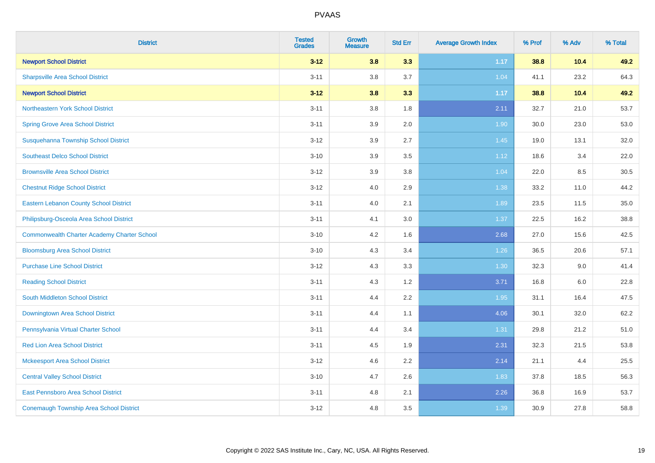| <b>District</b>                                    | <b>Tested</b><br><b>Grades</b> | <b>Growth</b><br><b>Measure</b> | <b>Std Err</b> | <b>Average Growth Index</b> | % Prof | % Adv | % Total |
|----------------------------------------------------|--------------------------------|---------------------------------|----------------|-----------------------------|--------|-------|---------|
| <b>Newport School District</b>                     | $3 - 12$                       | 3.8                             | 3.3            | 1.17                        | 38.8   | 10.4  | 49.2    |
| <b>Sharpsville Area School District</b>            | $3 - 11$                       | 3.8                             | 3.7            | 1.04                        | 41.1   | 23.2  | 64.3    |
| <b>Newport School District</b>                     | $3 - 12$                       | 3.8                             | 3.3            | 1.17                        | 38.8   | 10.4  | 49.2    |
| Northeastern York School District                  | $3 - 11$                       | $3.8\,$                         | 1.8            | 2.11                        | 32.7   | 21.0  | 53.7    |
| <b>Spring Grove Area School District</b>           | $3 - 11$                       | 3.9                             | 2.0            | 1.90                        | 30.0   | 23.0  | 53.0    |
| Susquehanna Township School District               | $3 - 12$                       | 3.9                             | 2.7            | 1.45                        | 19.0   | 13.1  | 32.0    |
| <b>Southeast Delco School District</b>             | $3 - 10$                       | 3.9                             | 3.5            | 1.12                        | 18.6   | 3.4   | 22.0    |
| <b>Brownsville Area School District</b>            | $3 - 12$                       | 3.9                             | 3.8            | 1.04                        | 22.0   | 8.5   | 30.5    |
| <b>Chestnut Ridge School District</b>              | $3 - 12$                       | 4.0                             | 2.9            | 1.38                        | 33.2   | 11.0  | 44.2    |
| <b>Eastern Lebanon County School District</b>      | $3 - 11$                       | 4.0                             | 2.1            | 1.89                        | 23.5   | 11.5  | 35.0    |
| Philipsburg-Osceola Area School District           | $3 - 11$                       | 4.1                             | 3.0            | 1.37                        | 22.5   | 16.2  | 38.8    |
| <b>Commonwealth Charter Academy Charter School</b> | $3 - 10$                       | 4.2                             | 1.6            | 2.68                        | 27.0   | 15.6  | 42.5    |
| <b>Bloomsburg Area School District</b>             | $3 - 10$                       | 4.3                             | 3.4            | 1.26                        | 36.5   | 20.6  | 57.1    |
| <b>Purchase Line School District</b>               | $3 - 12$                       | 4.3                             | 3.3            | 1.30                        | 32.3   | 9.0   | 41.4    |
| <b>Reading School District</b>                     | $3 - 11$                       | 4.3                             | 1.2            | 3.71                        | 16.8   | 6.0   | 22.8    |
| <b>South Middleton School District</b>             | $3 - 11$                       | 4.4                             | 2.2            | 1.95                        | 31.1   | 16.4  | 47.5    |
| Downingtown Area School District                   | $3 - 11$                       | 4.4                             | 1.1            | 4.06                        | 30.1   | 32.0  | 62.2    |
| Pennsylvania Virtual Charter School                | $3 - 11$                       | 4.4                             | 3.4            | 1.31                        | 29.8   | 21.2  | 51.0    |
| <b>Red Lion Area School District</b>               | $3 - 11$                       | 4.5                             | 1.9            | 2.31                        | 32.3   | 21.5  | 53.8    |
| <b>Mckeesport Area School District</b>             | $3 - 12$                       | 4.6                             | 2.2            | 2.14                        | 21.1   | 4.4   | 25.5    |
| <b>Central Valley School District</b>              | $3 - 10$                       | 4.7                             | 2.6            | 1.83                        | 37.8   | 18.5  | 56.3    |
| East Pennsboro Area School District                | $3 - 11$                       | 4.8                             | 2.1            | 2.26                        | 36.8   | 16.9  | 53.7    |
| <b>Conemaugh Township Area School District</b>     | $3 - 12$                       | 4.8                             | 3.5            | 1.39                        | 30.9   | 27.8  | 58.8    |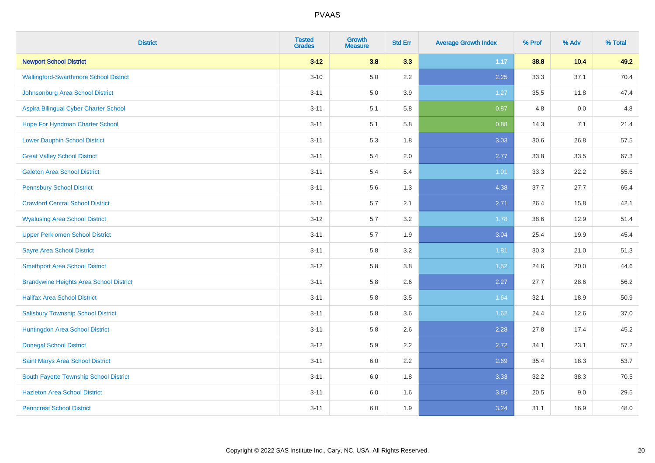| <b>District</b>                                | <b>Tested</b><br><b>Grades</b> | <b>Growth</b><br><b>Measure</b> | <b>Std Err</b> | <b>Average Growth Index</b> | % Prof | % Adv | % Total |
|------------------------------------------------|--------------------------------|---------------------------------|----------------|-----------------------------|--------|-------|---------|
| <b>Newport School District</b>                 | $3 - 12$                       | 3.8                             | 3.3            | 1.17                        | 38.8   | 10.4  | 49.2    |
| <b>Wallingford-Swarthmore School District</b>  | $3 - 10$                       | $5.0\,$                         | 2.2            | 2.25                        | 33.3   | 37.1  | 70.4    |
| Johnsonburg Area School District               | $3 - 11$                       | 5.0                             | 3.9            | 1.27                        | 35.5   | 11.8  | 47.4    |
| Aspira Bilingual Cyber Charter School          | $3 - 11$                       | 5.1                             | 5.8            | 0.87                        | 4.8    | 0.0   | 4.8     |
| Hope For Hyndman Charter School                | $3 - 11$                       | 5.1                             | 5.8            | 0.88                        | 14.3   | 7.1   | 21.4    |
| <b>Lower Dauphin School District</b>           | $3 - 11$                       | 5.3                             | 1.8            | 3.03                        | 30.6   | 26.8  | 57.5    |
| <b>Great Valley School District</b>            | $3 - 11$                       | 5.4                             | 2.0            | 2.77                        | 33.8   | 33.5  | 67.3    |
| <b>Galeton Area School District</b>            | $3 - 11$                       | 5.4                             | 5.4            | 1.01                        | 33.3   | 22.2  | 55.6    |
| <b>Pennsbury School District</b>               | $3 - 11$                       | 5.6                             | 1.3            | 4.38                        | 37.7   | 27.7  | 65.4    |
| <b>Crawford Central School District</b>        | $3 - 11$                       | 5.7                             | 2.1            | 2.71                        | 26.4   | 15.8  | 42.1    |
| <b>Wyalusing Area School District</b>          | $3 - 12$                       | 5.7                             | 3.2            | 1.78                        | 38.6   | 12.9  | 51.4    |
| <b>Upper Perkiomen School District</b>         | $3 - 11$                       | 5.7                             | 1.9            | 3.04                        | 25.4   | 19.9  | 45.4    |
| <b>Sayre Area School District</b>              | $3 - 11$                       | 5.8                             | 3.2            | 1.81                        | 30.3   | 21.0  | 51.3    |
| <b>Smethport Area School District</b>          | $3 - 12$                       | 5.8                             | 3.8            | 1.52                        | 24.6   | 20.0  | 44.6    |
| <b>Brandywine Heights Area School District</b> | $3 - 11$                       | 5.8                             | 2.6            | 2.27                        | 27.7   | 28.6  | 56.2    |
| <b>Halifax Area School District</b>            | $3 - 11$                       | 5.8                             | 3.5            | 1.64                        | 32.1   | 18.9  | 50.9    |
| <b>Salisbury Township School District</b>      | $3 - 11$                       | 5.8                             | 3.6            | 1.62                        | 24.4   | 12.6  | 37.0    |
| Huntingdon Area School District                | $3 - 11$                       | 5.8                             | 2.6            | 2.28                        | 27.8   | 17.4  | 45.2    |
| <b>Donegal School District</b>                 | $3 - 12$                       | 5.9                             | 2.2            | 2.72                        | 34.1   | 23.1  | 57.2    |
| Saint Marys Area School District               | $3 - 11$                       | $6.0\,$                         | 2.2            | 2.69                        | 35.4   | 18.3  | 53.7    |
| South Fayette Township School District         | $3 - 11$                       | 6.0                             | 1.8            | 3.33                        | 32.2   | 38.3  | 70.5    |
| <b>Hazleton Area School District</b>           | $3 - 11$                       | $6.0\,$                         | 1.6            | 3.85                        | 20.5   | 9.0   | 29.5    |
| <b>Penncrest School District</b>               | $3 - 11$                       | 6.0                             | 1.9            | 3.24                        | 31.1   | 16.9  | 48.0    |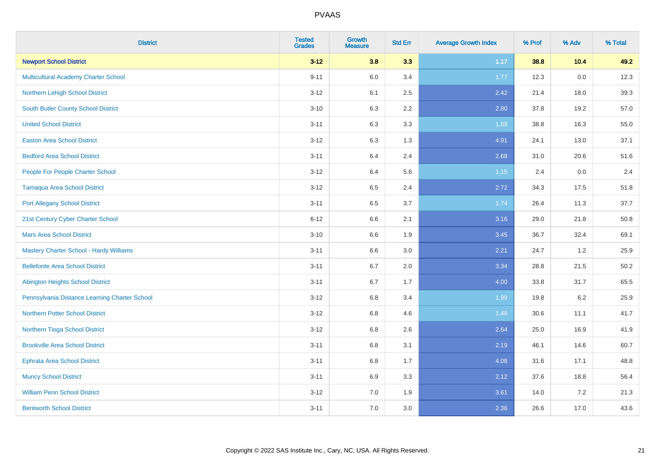| <b>District</b>                                | <b>Tested</b><br><b>Grades</b> | <b>Growth</b><br><b>Measure</b> | <b>Std Err</b> | <b>Average Growth Index</b> | % Prof | % Adv | % Total |
|------------------------------------------------|--------------------------------|---------------------------------|----------------|-----------------------------|--------|-------|---------|
| <b>Newport School District</b>                 | $3 - 12$                       | 3.8                             | 3.3            | 1.17                        | 38.8   | 10.4  | 49.2    |
| <b>Multicultural Academy Charter School</b>    | $9 - 11$                       | 6.0                             | 3.4            | 1.77                        | 12.3   | 0.0   | 12.3    |
| Northern Lehigh School District                | $3 - 12$                       | 6.1                             | 2.5            | 2.42                        | 21.4   | 18.0  | 39.3    |
| <b>South Butler County School District</b>     | $3 - 10$                       | 6.3                             | 2.2            | 2.80                        | 37.8   | 19.2  | 57.0    |
| <b>United School District</b>                  | $3 - 11$                       | 6.3                             | 3.3            | 1.89                        | 38.8   | 16.3  | 55.0    |
| <b>Easton Area School District</b>             | $3 - 12$                       | 6.3                             | 1.3            | 4.91                        | 24.1   | 13.0  | 37.1    |
| <b>Bedford Area School District</b>            | $3 - 11$                       | 6.4                             | 2.4            | 2.68                        | 31.0   | 20.6  | 51.6    |
| People For People Charter School               | $3 - 12$                       | 6.4                             | 5.6            | 1.15                        | 2.4    | 0.0   | 2.4     |
| <b>Tamaqua Area School District</b>            | $3 - 12$                       | 6.5                             | 2.4            | 2.72                        | 34.3   | 17.5  | 51.8    |
| <b>Port Allegany School District</b>           | $3 - 11$                       | $6.5\,$                         | 3.7            | 1.74                        | 26.4   | 11.3  | 37.7    |
| 21st Century Cyber Charter School              | $6 - 12$                       | 6.6                             | 2.1            | 3.16                        | 29.0   | 21.8  | 50.8    |
| <b>Mars Area School District</b>               | $3 - 10$                       | 6.6                             | 1.9            | 3.45                        | 36.7   | 32.4  | 69.1    |
| <b>Mastery Charter School - Hardy Williams</b> | $3 - 11$                       | 6.6                             | 3.0            | 2.21                        | 24.7   | 1.2   | 25.9    |
| <b>Bellefonte Area School District</b>         | $3 - 11$                       | 6.7                             | 2.0            | 3.34                        | 28.8   | 21.5  | 50.2    |
| <b>Abington Heights School District</b>        | $3 - 11$                       | 6.7                             | 1.7            | 4.00                        | 33.8   | 31.7  | 65.5    |
| Pennsylvania Distance Learning Charter School  | $3 - 12$                       | 6.8                             | 3.4            | 1.99                        | 19.8   | 6.2   | 25.9    |
| <b>Northern Potter School District</b>         | $3 - 12$                       | 6.8                             | 4.6            | 1.48                        | 30.6   | 11.1  | 41.7    |
| Northern Tioga School District                 | $3 - 12$                       | $6.8\,$                         | 2.6            | 2.64                        | 25.0   | 16.9  | 41.9    |
| <b>Brookville Area School District</b>         | $3 - 11$                       | 6.8                             | 3.1            | 2.19                        | 46.1   | 14.6  | 60.7    |
| <b>Ephrata Area School District</b>            | $3 - 11$                       | 6.8                             | 1.7            | 4.08                        | 31.6   | 17.1  | 48.8    |
| <b>Muncy School District</b>                   | $3 - 11$                       | 6.9                             | 3.3            | 2.12                        | 37.6   | 18.8  | 56.4    |
| <b>William Penn School District</b>            | $3 - 12$                       | 7.0                             | 1.9            | 3.61                        | 14.0   | 7.2   | 21.3    |
| <b>Bentworth School District</b>               | $3 - 11$                       | 7.0                             | 3.0            | 2.36                        | 26.6   | 17.0  | 43.6    |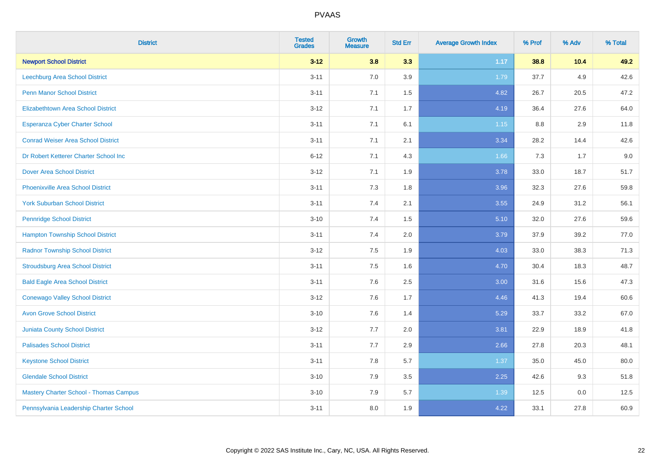| <b>District</b>                               | <b>Tested</b><br><b>Grades</b> | <b>Growth</b><br><b>Measure</b> | <b>Std Err</b> | <b>Average Growth Index</b> | % Prof | % Adv | % Total |
|-----------------------------------------------|--------------------------------|---------------------------------|----------------|-----------------------------|--------|-------|---------|
| <b>Newport School District</b>                | $3 - 12$                       | 3.8                             | 3.3            | 1.17                        | 38.8   | 10.4  | 49.2    |
| Leechburg Area School District                | $3 - 11$                       | 7.0                             | 3.9            | 1.79                        | 37.7   | 4.9   | 42.6    |
| <b>Penn Manor School District</b>             | $3 - 11$                       | 7.1                             | 1.5            | 4.82                        | 26.7   | 20.5  | 47.2    |
| <b>Elizabethtown Area School District</b>     | $3 - 12$                       | 7.1                             | 1.7            | 4.19                        | 36.4   | 27.6  | 64.0    |
| <b>Esperanza Cyber Charter School</b>         | $3 - 11$                       | 7.1                             | 6.1            | $1.15$                      | 8.8    | 2.9   | 11.8    |
| <b>Conrad Weiser Area School District</b>     | $3 - 11$                       | 7.1                             | 2.1            | 3.34                        | 28.2   | 14.4  | 42.6    |
| Dr Robert Ketterer Charter School Inc         | $6 - 12$                       | 7.1                             | 4.3            | 1.66                        | 7.3    | 1.7   | 9.0     |
| <b>Dover Area School District</b>             | $3 - 12$                       | 7.1                             | 1.9            | 3.78                        | 33.0   | 18.7  | 51.7    |
| <b>Phoenixville Area School District</b>      | $3 - 11$                       | 7.3                             | 1.8            | 3.96                        | 32.3   | 27.6  | 59.8    |
| <b>York Suburban School District</b>          | $3 - 11$                       | 7.4                             | 2.1            | 3.55                        | 24.9   | 31.2  | 56.1    |
| <b>Pennridge School District</b>              | $3 - 10$                       | 7.4                             | 1.5            | 5.10                        | 32.0   | 27.6  | 59.6    |
| <b>Hampton Township School District</b>       | $3 - 11$                       | 7.4                             | 2.0            | 3.79                        | 37.9   | 39.2  | 77.0    |
| <b>Radnor Township School District</b>        | $3 - 12$                       | $7.5\,$                         | 1.9            | 4.03                        | 33.0   | 38.3  | 71.3    |
| <b>Stroudsburg Area School District</b>       | $3 - 11$                       | 7.5                             | 1.6            | 4.70                        | 30.4   | 18.3  | 48.7    |
| <b>Bald Eagle Area School District</b>        | $3 - 11$                       | 7.6                             | 2.5            | 3.00                        | 31.6   | 15.6  | 47.3    |
| <b>Conewago Valley School District</b>        | $3 - 12$                       | 7.6                             | 1.7            | 4.46                        | 41.3   | 19.4  | 60.6    |
| <b>Avon Grove School District</b>             | $3 - 10$                       | 7.6                             | 1.4            | 5.29                        | 33.7   | 33.2  | 67.0    |
| <b>Juniata County School District</b>         | $3 - 12$                       | 7.7                             | 2.0            | 3.81                        | 22.9   | 18.9  | 41.8    |
| <b>Palisades School District</b>              | $3 - 11$                       | 7.7                             | 2.9            | 2.66                        | 27.8   | 20.3  | 48.1    |
| <b>Keystone School District</b>               | $3 - 11$                       | 7.8                             | 5.7            | 1.37                        | 35.0   | 45.0  | 80.0    |
| <b>Glendale School District</b>               | $3 - 10$                       | 7.9                             | 3.5            | 2.25                        | 42.6   | 9.3   | 51.8    |
| <b>Mastery Charter School - Thomas Campus</b> | $3 - 10$                       | 7.9                             | 5.7            | 1.39                        | 12.5   | 0.0   | 12.5    |
| Pennsylvania Leadership Charter School        | $3 - 11$                       | 8.0                             | 1.9            | 4.22                        | 33.1   | 27.8  | 60.9    |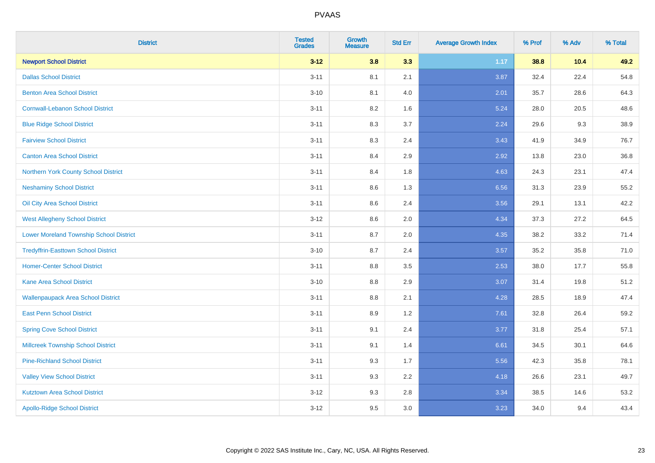| <b>District</b>                                | <b>Tested</b><br><b>Grades</b> | <b>Growth</b><br><b>Measure</b> | <b>Std Err</b> | <b>Average Growth Index</b> | % Prof | % Adv | % Total |
|------------------------------------------------|--------------------------------|---------------------------------|----------------|-----------------------------|--------|-------|---------|
| <b>Newport School District</b>                 | $3 - 12$                       | 3.8                             | 3.3            | 1.17                        | 38.8   | 10.4  | 49.2    |
| <b>Dallas School District</b>                  | $3 - 11$                       | 8.1                             | 2.1            | 3.87                        | 32.4   | 22.4  | 54.8    |
| <b>Benton Area School District</b>             | $3 - 10$                       | 8.1                             | 4.0            | 2.01                        | 35.7   | 28.6  | 64.3    |
| <b>Cornwall-Lebanon School District</b>        | $3 - 11$                       | 8.2                             | 1.6            | 5.24                        | 28.0   | 20.5  | 48.6    |
| <b>Blue Ridge School District</b>              | $3 - 11$                       | 8.3                             | 3.7            | 2.24                        | 29.6   | 9.3   | 38.9    |
| <b>Fairview School District</b>                | $3 - 11$                       | 8.3                             | 2.4            | 3.43                        | 41.9   | 34.9  | 76.7    |
| <b>Canton Area School District</b>             | $3 - 11$                       | 8.4                             | 2.9            | 2.92                        | 13.8   | 23.0  | 36.8    |
| Northern York County School District           | $3 - 11$                       | 8.4                             | 1.8            | 4.63                        | 24.3   | 23.1  | 47.4    |
| <b>Neshaminy School District</b>               | $3 - 11$                       | 8.6                             | 1.3            | 6.56                        | 31.3   | 23.9  | 55.2    |
| Oil City Area School District                  | $3 - 11$                       | 8.6                             | 2.4            | 3.56                        | 29.1   | 13.1  | 42.2    |
| <b>West Allegheny School District</b>          | $3 - 12$                       | 8.6                             | 2.0            | 4.34                        | 37.3   | 27.2  | 64.5    |
| <b>Lower Moreland Township School District</b> | $3 - 11$                       | 8.7                             | 2.0            | 4.35                        | 38.2   | 33.2  | 71.4    |
| <b>Tredyffrin-Easttown School District</b>     | $3 - 10$                       | 8.7                             | 2.4            | 3.57                        | 35.2   | 35.8  | 71.0    |
| <b>Homer-Center School District</b>            | $3 - 11$                       | 8.8                             | 3.5            | 2.53                        | 38.0   | 17.7  | 55.8    |
| <b>Kane Area School District</b>               | $3 - 10$                       | 8.8                             | 2.9            | 3.07                        | 31.4   | 19.8  | 51.2    |
| <b>Wallenpaupack Area School District</b>      | $3 - 11$                       | $8.8\,$                         | 2.1            | 4.28                        | 28.5   | 18.9  | 47.4    |
| <b>East Penn School District</b>               | $3 - 11$                       | 8.9                             | 1.2            | 7.61                        | 32.8   | 26.4  | 59.2    |
| <b>Spring Cove School District</b>             | $3 - 11$                       | 9.1                             | 2.4            | 3.77                        | 31.8   | 25.4  | 57.1    |
| <b>Millcreek Township School District</b>      | $3 - 11$                       | 9.1                             | 1.4            | 6.61                        | 34.5   | 30.1  | 64.6    |
| <b>Pine-Richland School District</b>           | $3 - 11$                       | 9.3                             | 1.7            | 5.56                        | 42.3   | 35.8  | 78.1    |
| <b>Valley View School District</b>             | $3 - 11$                       | 9.3                             | 2.2            | 4.18                        | 26.6   | 23.1  | 49.7    |
| <b>Kutztown Area School District</b>           | $3 - 12$                       | 9.3                             | 2.8            | 3.34                        | 38.5   | 14.6  | 53.2    |
| <b>Apollo-Ridge School District</b>            | $3 - 12$                       | 9.5                             | 3.0            | 3.23                        | 34.0   | 9.4   | 43.4    |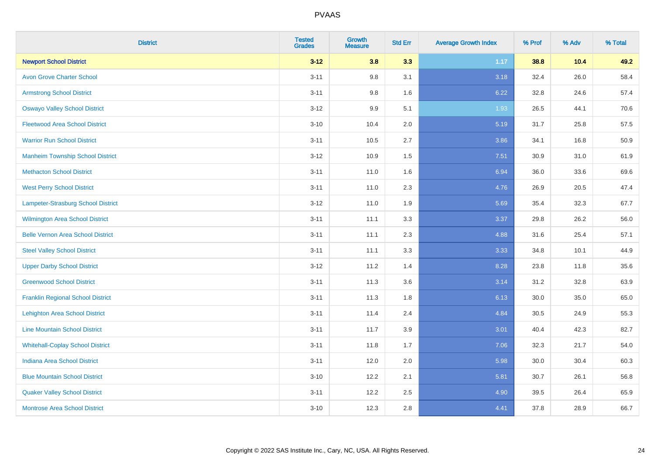| <b>District</b>                          | <b>Tested</b><br><b>Grades</b> | <b>Growth</b><br><b>Measure</b> | <b>Std Err</b> | <b>Average Growth Index</b> | % Prof | % Adv | % Total |
|------------------------------------------|--------------------------------|---------------------------------|----------------|-----------------------------|--------|-------|---------|
| <b>Newport School District</b>           | $3 - 12$                       | 3.8                             | 3.3            | 1.17                        | 38.8   | 10.4  | 49.2    |
| <b>Avon Grove Charter School</b>         | $3 - 11$                       | 9.8                             | 3.1            | 3.18                        | 32.4   | 26.0  | 58.4    |
| <b>Armstrong School District</b>         | $3 - 11$                       | 9.8                             | 1.6            | 6.22                        | 32.8   | 24.6  | 57.4    |
| <b>Oswayo Valley School District</b>     | $3 - 12$                       | 9.9                             | 5.1            | 1.93                        | 26.5   | 44.1  | 70.6    |
| <b>Fleetwood Area School District</b>    | $3 - 10$                       | 10.4                            | 2.0            | 5.19                        | 31.7   | 25.8  | 57.5    |
| <b>Warrior Run School District</b>       | $3 - 11$                       | 10.5                            | 2.7            | 3.86                        | 34.1   | 16.8  | 50.9    |
| <b>Manheim Township School District</b>  | $3 - 12$                       | 10.9                            | 1.5            | 7.51                        | 30.9   | 31.0  | 61.9    |
| <b>Methacton School District</b>         | $3 - 11$                       | 11.0                            | 1.6            | 6.94                        | 36.0   | 33.6  | 69.6    |
| <b>West Perry School District</b>        | $3 - 11$                       | 11.0                            | 2.3            | 4.76                        | 26.9   | 20.5  | 47.4    |
| Lampeter-Strasburg School District       | $3 - 12$                       | 11.0                            | 1.9            | 5.69                        | 35.4   | 32.3  | 67.7    |
| Wilmington Area School District          | $3 - 11$                       | 11.1                            | 3.3            | 3.37                        | 29.8   | 26.2  | 56.0    |
| <b>Belle Vernon Area School District</b> | $3 - 11$                       | 11.1                            | 2.3            | 4.88                        | 31.6   | 25.4  | 57.1    |
| <b>Steel Valley School District</b>      | $3 - 11$                       | 11.1                            | 3.3            | 3.33                        | 34.8   | 10.1  | 44.9    |
| <b>Upper Darby School District</b>       | $3-12$                         | 11.2                            | 1.4            | 8.28                        | 23.8   | 11.8  | 35.6    |
| <b>Greenwood School District</b>         | $3 - 11$                       | 11.3                            | 3.6            | 3.14                        | 31.2   | 32.8  | 63.9    |
| <b>Franklin Regional School District</b> | $3 - 11$                       | 11.3                            | 1.8            | 6.13                        | 30.0   | 35.0  | 65.0    |
| <b>Lehighton Area School District</b>    | $3 - 11$                       | 11.4                            | 2.4            | 4.84                        | 30.5   | 24.9  | 55.3    |
| <b>Line Mountain School District</b>     | $3 - 11$                       | 11.7                            | 3.9            | 3.01                        | 40.4   | 42.3  | 82.7    |
| <b>Whitehall-Coplay School District</b>  | $3 - 11$                       | 11.8                            | 1.7            | 7.06                        | 32.3   | 21.7  | 54.0    |
| <b>Indiana Area School District</b>      | $3 - 11$                       | 12.0                            | 2.0            | 5.98                        | 30.0   | 30.4  | 60.3    |
| <b>Blue Mountain School District</b>     | $3 - 10$                       | 12.2                            | 2.1            | 5.81                        | 30.7   | 26.1  | 56.8    |
| <b>Quaker Valley School District</b>     | $3 - 11$                       | 12.2                            | 2.5            | 4.90                        | 39.5   | 26.4  | 65.9    |
| <b>Montrose Area School District</b>     | $3 - 10$                       | 12.3                            | 2.8            | 4.41                        | 37.8   | 28.9  | 66.7    |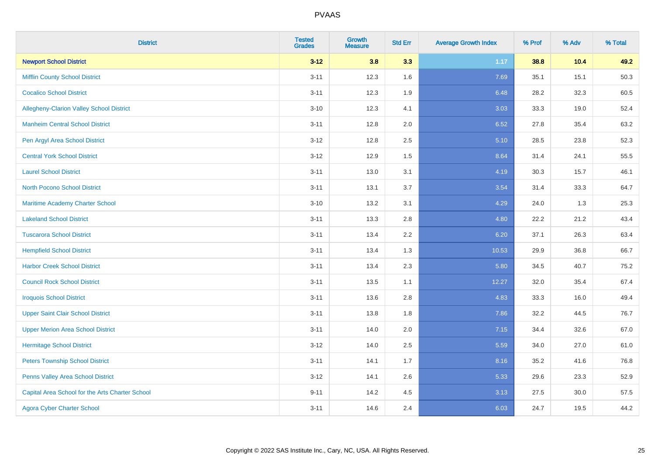| <b>District</b>                                 | <b>Tested</b><br><b>Grades</b> | <b>Growth</b><br><b>Measure</b> | <b>Std Err</b> | <b>Average Growth Index</b> | % Prof | % Adv | % Total |
|-------------------------------------------------|--------------------------------|---------------------------------|----------------|-----------------------------|--------|-------|---------|
| <b>Newport School District</b>                  | $3 - 12$                       | 3.8                             | 3.3            | 1.17                        | 38.8   | 10.4  | 49.2    |
| <b>Mifflin County School District</b>           | $3 - 11$                       | 12.3                            | 1.6            | 7.69                        | 35.1   | 15.1  | 50.3    |
| <b>Cocalico School District</b>                 | $3 - 11$                       | 12.3                            | 1.9            | 6.48                        | 28.2   | 32.3  | 60.5    |
| Allegheny-Clarion Valley School District        | $3 - 10$                       | 12.3                            | 4.1            | 3.03                        | 33.3   | 19.0  | 52.4    |
| <b>Manheim Central School District</b>          | $3 - 11$                       | 12.8                            | 2.0            | 6.52                        | 27.8   | 35.4  | 63.2    |
| Pen Argyl Area School District                  | $3 - 12$                       | 12.8                            | 2.5            | 5.10                        | 28.5   | 23.8  | 52.3    |
| <b>Central York School District</b>             | $3 - 12$                       | 12.9                            | 1.5            | 8.64                        | 31.4   | 24.1  | 55.5    |
| <b>Laurel School District</b>                   | $3 - 11$                       | 13.0                            | 3.1            | 4.19                        | 30.3   | 15.7  | 46.1    |
| North Pocono School District                    | $3 - 11$                       | 13.1                            | 3.7            | 3.54                        | 31.4   | 33.3  | 64.7    |
| <b>Maritime Academy Charter School</b>          | $3 - 10$                       | 13.2                            | 3.1            | 4.29                        | 24.0   | 1.3   | 25.3    |
| <b>Lakeland School District</b>                 | $3 - 11$                       | 13.3                            | 2.8            | 4.80                        | 22.2   | 21.2  | 43.4    |
| <b>Tuscarora School District</b>                | $3 - 11$                       | 13.4                            | 2.2            | 6.20                        | 37.1   | 26.3  | 63.4    |
| <b>Hempfield School District</b>                | $3 - 11$                       | 13.4                            | 1.3            | 10.53                       | 29.9   | 36.8  | 66.7    |
| <b>Harbor Creek School District</b>             | $3 - 11$                       | 13.4                            | 2.3            | 5.80                        | 34.5   | 40.7  | 75.2    |
| <b>Council Rock School District</b>             | $3 - 11$                       | 13.5                            | 1.1            | 12.27                       | 32.0   | 35.4  | 67.4    |
| <b>Iroquois School District</b>                 | $3 - 11$                       | 13.6                            | 2.8            | 4.83                        | 33.3   | 16.0  | 49.4    |
| <b>Upper Saint Clair School District</b>        | $3 - 11$                       | 13.8                            | 1.8            | 7.86                        | 32.2   | 44.5  | 76.7    |
| <b>Upper Merion Area School District</b>        | $3 - 11$                       | 14.0                            | 2.0            | 7.15                        | 34.4   | 32.6  | 67.0    |
| <b>Hermitage School District</b>                | $3 - 12$                       | 14.0                            | 2.5            | 5.59                        | 34.0   | 27.0  | 61.0    |
| <b>Peters Township School District</b>          | $3 - 11$                       | 14.1                            | 1.7            | 8.16                        | 35.2   | 41.6  | 76.8    |
| Penns Valley Area School District               | $3 - 12$                       | 14.1                            | 2.6            | 5.33                        | 29.6   | 23.3  | 52.9    |
| Capital Area School for the Arts Charter School | $9 - 11$                       | 14.2                            | 4.5            | 3.13                        | 27.5   | 30.0  | 57.5    |
| <b>Agora Cyber Charter School</b>               | $3 - 11$                       | 14.6                            | 2.4            | 6.03                        | 24.7   | 19.5  | 44.2    |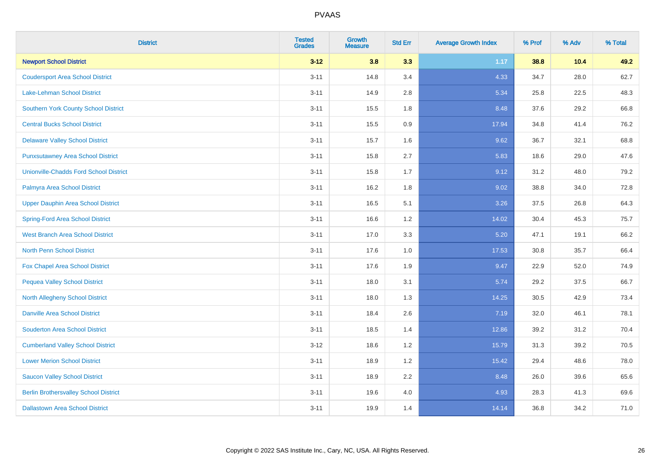| <b>District</b>                               | <b>Tested</b><br><b>Grades</b> | <b>Growth</b><br><b>Measure</b> | <b>Std Err</b> | <b>Average Growth Index</b> | % Prof | % Adv | % Total |
|-----------------------------------------------|--------------------------------|---------------------------------|----------------|-----------------------------|--------|-------|---------|
| <b>Newport School District</b>                | $3 - 12$                       | 3.8                             | 3.3            | 1.17                        | 38.8   | 10.4  | 49.2    |
| <b>Coudersport Area School District</b>       | $3 - 11$                       | 14.8                            | 3.4            | 4.33                        | 34.7   | 28.0  | 62.7    |
| Lake-Lehman School District                   | $3 - 11$                       | 14.9                            | 2.8            | 5.34                        | 25.8   | 22.5  | 48.3    |
| <b>Southern York County School District</b>   | $3 - 11$                       | 15.5                            | 1.8            | 8.48                        | 37.6   | 29.2  | 66.8    |
| <b>Central Bucks School District</b>          | $3 - 11$                       | 15.5                            | 0.9            | 17.94                       | 34.8   | 41.4  | 76.2    |
| <b>Delaware Valley School District</b>        | $3 - 11$                       | 15.7                            | 1.6            | 9.62                        | 36.7   | 32.1  | 68.8    |
| <b>Punxsutawney Area School District</b>      | $3 - 11$                       | 15.8                            | 2.7            | 5.83                        | 18.6   | 29.0  | 47.6    |
| <b>Unionville-Chadds Ford School District</b> | $3 - 11$                       | 15.8                            | 1.7            | 9.12                        | 31.2   | 48.0  | 79.2    |
| Palmyra Area School District                  | $3 - 11$                       | 16.2                            | 1.8            | 9.02                        | 38.8   | 34.0  | 72.8    |
| <b>Upper Dauphin Area School District</b>     | $3 - 11$                       | 16.5                            | 5.1            | 3.26                        | 37.5   | 26.8  | 64.3    |
| <b>Spring-Ford Area School District</b>       | $3 - 11$                       | 16.6                            | 1.2            | 14.02                       | 30.4   | 45.3  | 75.7    |
| <b>West Branch Area School District</b>       | $3 - 11$                       | 17.0                            | 3.3            | 5.20                        | 47.1   | 19.1  | 66.2    |
| North Penn School District                    | $3 - 11$                       | 17.6                            | 1.0            | 17.53                       | 30.8   | 35.7  | 66.4    |
| <b>Fox Chapel Area School District</b>        | $3 - 11$                       | 17.6                            | 1.9            | 9.47                        | 22.9   | 52.0  | 74.9    |
| <b>Pequea Valley School District</b>          | $3 - 11$                       | 18.0                            | 3.1            | 5.74                        | 29.2   | 37.5  | 66.7    |
| North Allegheny School District               | $3 - 11$                       | 18.0                            | 1.3            | 14.25                       | 30.5   | 42.9  | 73.4    |
| <b>Danville Area School District</b>          | $3 - 11$                       | 18.4                            | 2.6            | 7.19                        | 32.0   | 46.1  | 78.1    |
| <b>Souderton Area School District</b>         | $3 - 11$                       | 18.5                            | 1.4            | 12.86                       | 39.2   | 31.2  | 70.4    |
| <b>Cumberland Valley School District</b>      | $3 - 12$                       | 18.6                            | 1.2            | 15.79                       | 31.3   | 39.2  | 70.5    |
| <b>Lower Merion School District</b>           | $3 - 11$                       | 18.9                            | 1.2            | 15.42                       | 29.4   | 48.6  | 78.0    |
| <b>Saucon Valley School District</b>          | $3 - 11$                       | 18.9                            | 2.2            | 8.48                        | 26.0   | 39.6  | 65.6    |
| <b>Berlin Brothersvalley School District</b>  | $3 - 11$                       | 19.6                            | 4.0            | 4.93                        | 28.3   | 41.3  | 69.6    |
| <b>Dallastown Area School District</b>        | $3 - 11$                       | 19.9                            | 1.4            | 14.14                       | 36.8   | 34.2  | 71.0    |